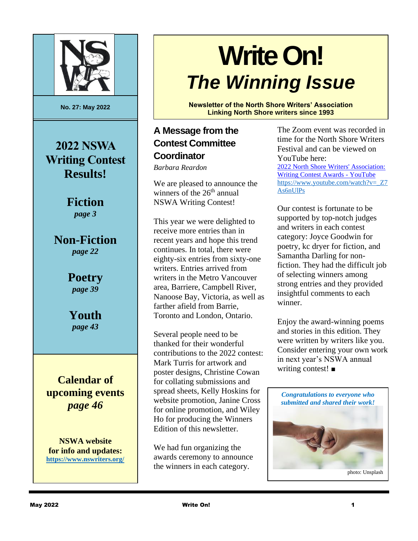

**No. 27: May 2022**

**2022 NSWA Writing Contest Results!**

> **Fiction** *page 3*

**Non-Fiction** *page 22*

> **Poetry** *page 39*

**Youth** *page 43*

**Calendar of upcoming events**  *page 46*

**NSWA website for info and updates: <https://www.nswriters.org/>**

# **Write On!** *The Winning Issue*

**Newsletter of the North Shore Writers' Association Linking North Shore writers since 1993**

### **A Message from the Contest Committee Coordinator**

*Barbara Reardon* 

We are pleased to announce the winners of the  $26<sup>th</sup>$  annual NSWA Writing Contest!

This year we were delighted to receive more entries than in recent years and hope this trend continues. In total, there were eighty-six entries from sixty-one writers. Entries arrived from writers in the Metro Vancouver area, Barriere, Campbell River, Nanoose Bay, Victoria, as well as farther afield from Barrie, Toronto and London, Ontario.

Several people need to be thanked for their wonderful contributions to the 2022 contest: Mark Turris for artwork and poster designs, Christine Cowan for collating submissions and spread sheets, Kelly Hoskins for website promotion, Janine Cross for online promotion, and Wiley Ho for producing the Winners Edition of this newsletter.

We had fun organizing the awards ceremony to announce the winners in each category.

The Zoom event was recorded in time for the North Shore Writers Festival and can be viewed on YouTube here:

[2022 North Shore Writers' Association:](https://www.youtube.com/watch?v=_Z7As6nUlPs)  [Writing Contest Awards -](https://www.youtube.com/watch?v=_Z7As6nUlPs) YouTube [https://www.youtube.com/watch?v=\\_Z7](https://www.youtube.com/watch?v=_Z7As6nUlPs) [As6nUlPs](https://www.youtube.com/watch?v=_Z7As6nUlPs)

Our contest is fortunate to be supported by top-notch judges and writers in each contest category: Joyce Goodwin for poetry, kc dryer for fiction, and Samantha Darling for nonfiction. They had the difficult job of selecting winners among strong entries and they provided insightful comments to each winner.

Enjoy the award-winning poems and stories in this edition. They were written by writers like you. Consider entering your own work in next year's NSWA annual writing contest! ■

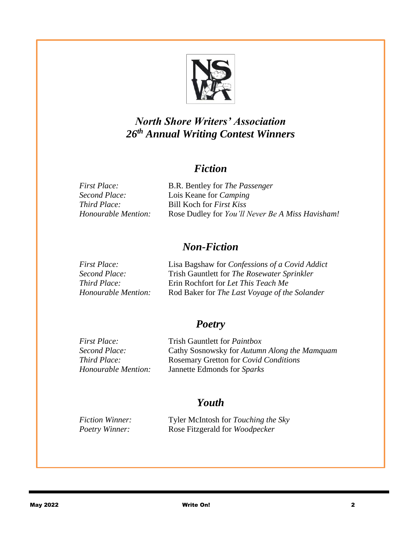

### *North Shore Writers' Association 26 th Annual Writing Contest Winners*

#### *Fiction*

| First Place:        | B.R. Bentley for <i>The Passenger</i>            |
|---------------------|--------------------------------------------------|
| Second Place:       | Lois Keane for <i>Camping</i>                    |
| Third Place:        | Bill Koch for <i>First Kiss</i>                  |
| Honourable Mention: | Rose Dudley for You'll Never Be A Miss Havisham! |
|                     |                                                  |

#### *Non-Fiction*

| Lisa Bagshaw for Confessions of a Covid Addict |
|------------------------------------------------|
| Trish Gauntlett for The Rosewater Sprinkler    |
| Erin Rochfort for Let This Teach Me            |
| Rod Baker for The Last Voyage of the Solander  |
|                                                |

#### *Poetry*

*First Place:* Trish Gauntlett for *Paintbox Second Place:* Cathy Sosnowsky for *Autumn Along the Mamquam Third Place:* **Rosemary Gretton for** *Covid Conditions*<br>*Honourable Mention:* Jannette Edmonds for *Sparks Honourable Mention:* Jannette Edmonds for *Sparks*

### *Youth*

*Fiction Winner:* Tyler McIntosh for *Touching the Sky Poetry Winner:* Rose Fitzgerald for *Woodpecker*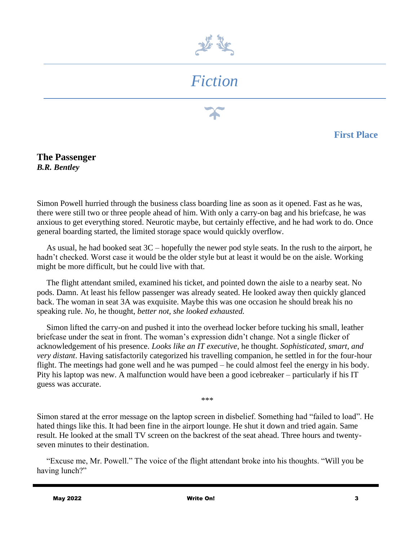

## *Fiction*

**First Place**

**The Passenger** *B.R. Bentley*

Simon Powell hurried through the business class boarding line as soon as it opened. Fast as he was, there were still two or three people ahead of him. With only a carry-on bag and his briefcase, he was anxious to get everything stored. Neurotic maybe, but certainly effective, and he had work to do. Once general boarding started, the limited storage space would quickly overflow.

As usual, he had booked seat 3C – hopefully the newer pod style seats. In the rush to the airport, he hadn't checked. Worst case it would be the older style but at least it would be on the aisle. Working might be more difficult, but he could live with that.

The flight attendant smiled, examined his ticket, and pointed down the aisle to a nearby seat. No pods. Damn. At least his fellow passenger was already seated. He looked away then quickly glanced back. The woman in seat 3A was exquisite. Maybe this was one occasion he should break his no speaking rule. *No,* he thought, *better not, she looked exhausted.*

Simon lifted the carry-on and pushed it into the overhead locker before tucking his small, leather briefcase under the seat in front. The woman's expression didn't change. Not a single flicker of acknowledgement of his presence. *Looks like an IT executive*, he thought. *Sophisticated, smart, and very distant*. Having satisfactorily categorized his travelling companion, he settled in for the four-hour flight. The meetings had gone well and he was pumped – he could almost feel the energy in his body. Pity his laptop was new. A malfunction would have been a good icebreaker – particularly if his IT guess was accurate.

\*\*\*

Simon stared at the error message on the laptop screen in disbelief. Something had "failed to load". He hated things like this. It had been fine in the airport lounge. He shut it down and tried again. Same result. He looked at the small TV screen on the backrest of the seat ahead. Three hours and twentyseven minutes to their destination.

"Excuse me, Mr. Powell." The voice of the flight attendant broke into his thoughts. "Will you be having lunch?"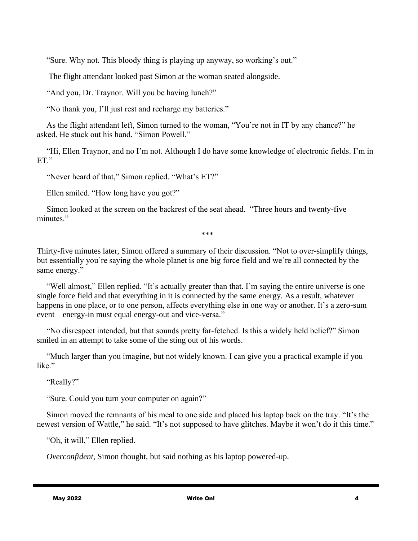"Sure. Why not. This bloody thing is playing up anyway, so working's out."

The flight attendant looked past Simon at the woman seated alongside.

"And you, Dr. Traynor. Will you be having lunch?"

"No thank you, I'll just rest and recharge my batteries."

As the flight attendant left, Simon turned to the woman, "You're not in IT by any chance?" he asked. He stuck out his hand. "Simon Powell."

"Hi, Ellen Traynor, and no I'm not. Although I do have some knowledge of electronic fields. I'm in ET."

"Never heard of that," Simon replied. "What's ET?"

Ellen smiled. "How long have you got?"

Simon looked at the screen on the backrest of the seat ahead. "Three hours and twenty-five minutes."

\*\*\*

Thirty-five minutes later, Simon offered a summary of their discussion. "Not to over-simplify things, but essentially you're saying the whole planet is one big force field and we're all connected by the same energy."

"Well almost," Ellen replied. "It's actually greater than that. I'm saying the entire universe is one single force field and that everything in it is connected by the same energy. As a result, whatever happens in one place, or to one person, affects everything else in one way or another. It's a zero-sum event – energy-in must equal energy-out and vice-versa."

"No disrespect intended, but that sounds pretty far-fetched. Is this a widely held belief?" Simon smiled in an attempt to take some of the sting out of his words.

"Much larger than you imagine, but not widely known. I can give you a practical example if you like."

"Really?"

"Sure. Could you turn your computer on again?"

Simon moved the remnants of his meal to one side and placed his laptop back on the tray. "It's the newest version of Wattle," he said. "It's not supposed to have glitches. Maybe it won't do it this time."

"Oh, it will," Ellen replied.

*Overconfident*, Simon thought, but said nothing as his laptop powered-up.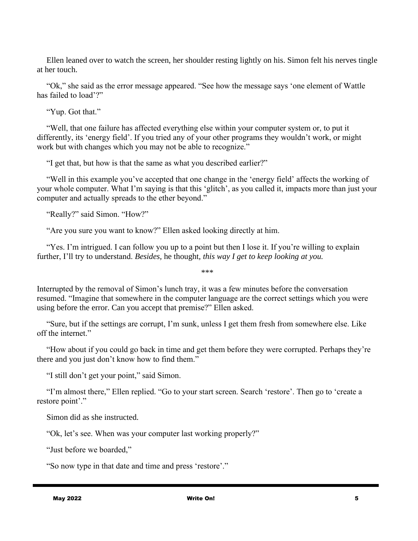Ellen leaned over to watch the screen, her shoulder resting lightly on his. Simon felt his nerves tingle at her touch.

"Ok," she said as the error message appeared. "See how the message says 'one element of Wattle has failed to load'?"

"Yup. Got that."

"Well, that one failure has affected everything else within your computer system or, to put it differently, its 'energy field'. If you tried any of your other programs they wouldn't work, or might work but with changes which you may not be able to recognize."

"I get that, but how is that the same as what you described earlier?"

"Well in this example you've accepted that one change in the 'energy field' affects the working of your whole computer. What I'm saying is that this 'glitch', as you called it, impacts more than just your computer and actually spreads to the ether beyond."

"Really?" said Simon. "How?"

"Are you sure you want to know?" Ellen asked looking directly at him.

"Yes. I'm intrigued. I can follow you up to a point but then I lose it. If you're willing to explain further, I'll try to understand. *Besides,* he thought*, this way I get to keep looking at you.*

Interrupted by the removal of Simon's lunch tray, it was a few minutes before the conversation resumed. "Imagine that somewhere in the computer language are the correct settings which you were using before the error. Can you accept that premise?" Ellen asked.

\*\*\*

"Sure, but if the settings are corrupt, I'm sunk, unless I get them fresh from somewhere else. Like off the internet."

"How about if you could go back in time and get them before they were corrupted. Perhaps they're there and you just don't know how to find them."

"I still don't get your point," said Simon.

"I'm almost there," Ellen replied. "Go to your start screen. Search 'restore'. Then go to 'create a restore point'."

Simon did as she instructed.

"Ok, let's see. When was your computer last working properly?"

"Just before we boarded,"

"So now type in that date and time and press 'restore'."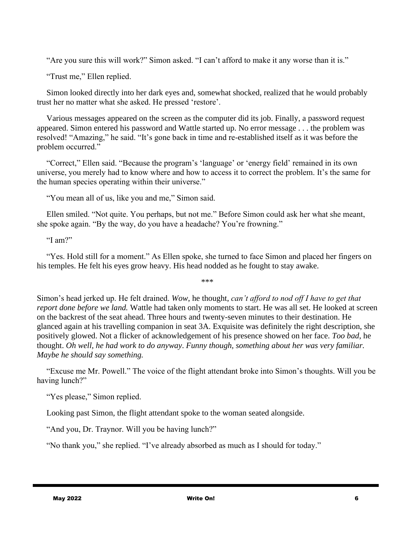"Are you sure this will work?" Simon asked. "I can't afford to make it any worse than it is."

"Trust me," Ellen replied.

Simon looked directly into her dark eyes and, somewhat shocked, realized that he would probably trust her no matter what she asked. He pressed 'restore'.

Various messages appeared on the screen as the computer did its job. Finally, a password request appeared. Simon entered his password and Wattle started up. No error message . . . the problem was resolved! "Amazing," he said. "It's gone back in time and re-established itself as it was before the problem occurred."

"Correct," Ellen said. "Because the program's 'language' or 'energy field' remained in its own universe, you merely had to know where and how to access it to correct the problem. It's the same for the human species operating within their universe."

"You mean all of us, like you and me," Simon said.

Ellen smiled. "Not quite. You perhaps, but not me." Before Simon could ask her what she meant, she spoke again. "By the way, do you have a headache? You're frowning."

"I am?"

"Yes. Hold still for a moment." As Ellen spoke, she turned to face Simon and placed her fingers on his temples. He felt his eyes grow heavy. His head nodded as he fought to stay awake.

\*\*\*

Simon's head jerked up. He felt drained. *Wow*, he thought, *can't afford to nod off I have to get that report done before we land.* Wattle had taken only moments to start. He was all set. He looked at screen on the backrest of the seat ahead. Three hours and twenty-seven minutes to their destination. He glanced again at his travelling companion in seat 3A. Exquisite was definitely the right description, she positively glowed. Not a flicker of acknowledgement of his presence showed on her face. *Too bad*, he thought. *Oh well, he had work to do anyway*. *Funny though, something about her was very familiar. Maybe he should say something.* 

"Excuse me Mr. Powell." The voice of the flight attendant broke into Simon's thoughts. Will you be having lunch?"

"Yes please," Simon replied.

Looking past Simon, the flight attendant spoke to the woman seated alongside.

"And you, Dr. Traynor. Will you be having lunch?"

"No thank you," she replied. "I've already absorbed as much as I should for today."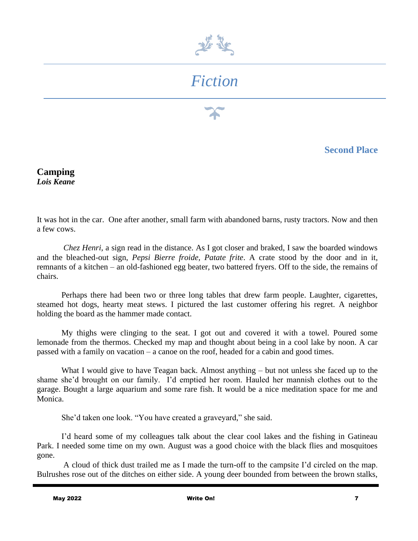

## *Fiction*

**Second Place**

**Camping** *Lois Keane*

It was hot in the car. One after another, small farm with abandoned barns, rusty tractors. Now and then a few cows.

*Chez Henri,* a sign read in the distance. As I got closer and braked, I saw the boarded windows and the bleached-out sign, *Pepsi Bierre froide, Patate frite*. A crate stood by the door and in it, remnants of a kitchen – an old-fashioned egg beater, two battered fryers. Off to the side, the remains of chairs.

Perhaps there had been two or three long tables that drew farm people. Laughter, cigarettes, steamed hot dogs, hearty meat stews. I pictured the last customer offering his regret. A neighbor holding the board as the hammer made contact.

My thighs were clinging to the seat. I got out and covered it with a towel. Poured some lemonade from the thermos. Checked my map and thought about being in a cool lake by noon. A car passed with a family on vacation – a canoe on the roof, headed for a cabin and good times.

What I would give to have Teagan back. Almost anything – but not unless she faced up to the shame she'd brought on our family. I'd emptied her room. Hauled her mannish clothes out to the garage. Bought a large aquarium and some rare fish. It would be a nice meditation space for me and Monica.

She'd taken one look. "You have created a graveyard," she said.

I'd heard some of my colleagues talk about the clear cool lakes and the fishing in Gatineau Park. I needed some time on my own. August was a good choice with the black flies and mosquitoes gone.

A cloud of thick dust trailed me as I made the turn-off to the campsite I'd circled on the map. Bulrushes rose out of the ditches on either side. A young deer bounded from between the brown stalks,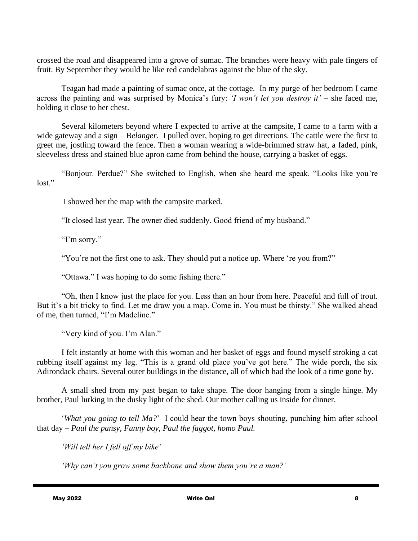crossed the road and disappeared into a grove of sumac. The branches were heavy with pale fingers of fruit. By September they would be like red candelabras against the blue of the sky.

Teagan had made a painting of sumac once, at the cottage. In my purge of her bedroom I came across the painting and was surprised by Monica's fury: *'I won't let you destroy it'* – she faced me, holding it close to her chest.

Several kilometers beyond where I expected to arrive at the campsite, I came to a farm with a wide gateway and a sign – B*elanger*. I pulled over, hoping to get directions. The cattle were the first to greet me, jostling toward the fence. Then a woman wearing a wide-brimmed straw hat, a faded, pink, sleeveless dress and stained blue apron came from behind the house, carrying a basket of eggs.

"Bonjour. Perdue?" She switched to English, when she heard me speak. "Looks like you're lost."

I showed her the map with the campsite marked.

"It closed last year. The owner died suddenly. Good friend of my husband."

"I'm sorry."

"You're not the first one to ask. They should put a notice up. Where 're you from?"

"Ottawa." I was hoping to do some fishing there."

"Oh, then I know just the place for you. Less than an hour from here. Peaceful and full of trout. But it's a bit tricky to find. Let me draw you a map. Come in. You must be thirsty." She walked ahead of me, then turned, "I'm Madeline."

"Very kind of you. I'm Alan."

I felt instantly at home with this woman and her basket of eggs and found myself stroking a cat rubbing itself against my leg. "This is a grand old place you've got here." The wide porch, the six Adirondack chairs. Several outer buildings in the distance, all of which had the look of a time gone by.

A small shed from my past began to take shape. The door hanging from a single hinge. My brother, Paul lurking in the dusky light of the shed. Our mother calling us inside for dinner.

'*What you going to tell Ma?*' I could hear the town boys shouting, punching him after school that day – *Paul the pansy, Funny boy, Paul the faggot, homo Paul.*

*'Will tell her I fell off my bike'*

*'Why can't you grow some backbone and show them you're a man?'*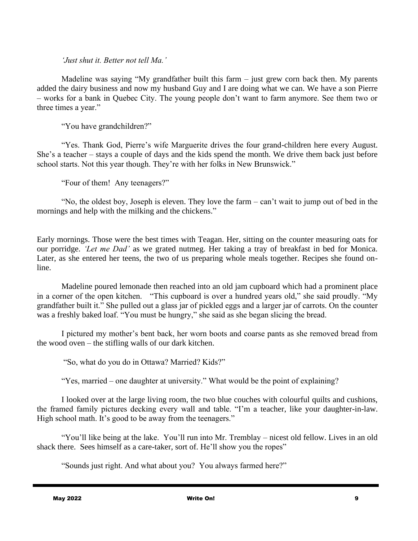*'Just shut it. Better not tell Ma.'*

Madeline was saying "My grandfather built this farm – just grew corn back then. My parents added the dairy business and now my husband Guy and I are doing what we can. We have a son Pierre – works for a bank in Quebec City. The young people don't want to farm anymore. See them two or three times a year."

"You have grandchildren?"

"Yes. Thank God, Pierre's wife Marguerite drives the four grand-children here every August. She's a teacher – stays a couple of days and the kids spend the month. We drive them back just before school starts. Not this year though. They're with her folks in New Brunswick."

"Four of them! Any teenagers?"

"No, the oldest boy, Joseph is eleven. They love the farm – can't wait to jump out of bed in the mornings and help with the milking and the chickens."

Early mornings. Those were the best times with Teagan. Her, sitting on the counter measuring oats for our porridge. *'Let me Dad'* as we grated nutmeg. Her taking a tray of breakfast in bed for Monica. Later, as she entered her teens, the two of us preparing whole meals together. Recipes she found online.

Madeline poured lemonade then reached into an old jam cupboard which had a prominent place in a corner of the open kitchen. "This cupboard is over a hundred years old," she said proudly. "My grandfather built it." She pulled out a glass jar of pickled eggs and a larger jar of carrots. On the counter was a freshly baked loaf. "You must be hungry," she said as she began slicing the bread.

I pictured my mother's bent back, her worn boots and coarse pants as she removed bread from the wood oven – the stifling walls of our dark kitchen.

"So, what do you do in Ottawa? Married? Kids?"

"Yes, married – one daughter at university." What would be the point of explaining?

I looked over at the large living room, the two blue couches with colourful quilts and cushions, the framed family pictures decking every wall and table. "I'm a teacher, like your daughter-in-law. High school math. It's good to be away from the teenagers."

"You'll like being at the lake. You'll run into Mr. Tremblay – nicest old fellow. Lives in an old shack there. Sees himself as a care-taker, sort of. He'll show you the ropes"

"Sounds just right. And what about you? You always farmed here?"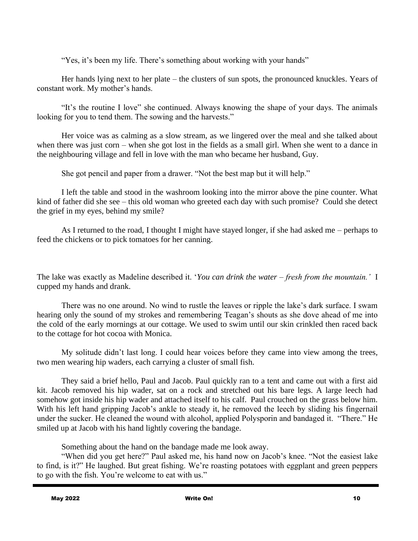"Yes, it's been my life. There's something about working with your hands"

Her hands lying next to her plate – the clusters of sun spots, the pronounced knuckles. Years of constant work. My mother's hands.

"It's the routine I love" she continued. Always knowing the shape of your days. The animals looking for you to tend them. The sowing and the harvests."

Her voice was as calming as a slow stream, as we lingered over the meal and she talked about when there was just corn – when she got lost in the fields as a small girl. When she went to a dance in the neighbouring village and fell in love with the man who became her husband, Guy.

She got pencil and paper from a drawer. "Not the best map but it will help."

I left the table and stood in the washroom looking into the mirror above the pine counter. What kind of father did she see – this old woman who greeted each day with such promise? Could she detect the grief in my eyes, behind my smile?

As I returned to the road, I thought I might have stayed longer, if she had asked me – perhaps to feed the chickens or to pick tomatoes for her canning.

The lake was exactly as Madeline described it. '*You can drink the water – fresh from the mountain.'* I cupped my hands and drank.

There was no one around. No wind to rustle the leaves or ripple the lake's dark surface. I swam hearing only the sound of my strokes and remembering Teagan's shouts as she dove ahead of me into the cold of the early mornings at our cottage. We used to swim until our skin crinkled then raced back to the cottage for hot cocoa with Monica.

My solitude didn't last long. I could hear voices before they came into view among the trees*,* two men wearing hip waders, each carrying a cluster of small fish.

They said a brief hello, Paul and Jacob. Paul quickly ran to a tent and came out with a first aid kit. Jacob removed his hip wader, sat on a rock and stretched out his bare legs. A large leech had somehow got inside his hip wader and attached itself to his calf. Paul crouched on the grass below him. With his left hand gripping Jacob's ankle to steady it, he removed the leech by sliding his fingernail under the sucker. He cleaned the wound with alcohol, applied Polysporin and bandaged it. "There." He smiled up at Jacob with his hand lightly covering the bandage.

Something about the hand on the bandage made me look away.

"When did you get here?" Paul asked me, his hand now on Jacob's knee. "Not the easiest lake to find, is it?" He laughed. But great fishing. We're roasting potatoes with eggplant and green peppers to go with the fish. You're welcome to eat with us."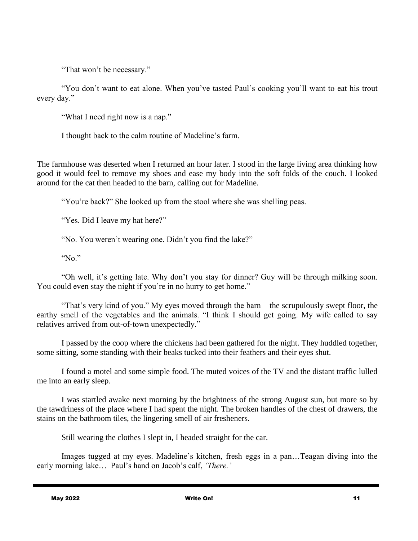"That won't be necessary."

"You don't want to eat alone. When you've tasted Paul's cooking you'll want to eat his trout every day."

"What I need right now is a nap."

I thought back to the calm routine of Madeline's farm.

The farmhouse was deserted when I returned an hour later. I stood in the large living area thinking how good it would feel to remove my shoes and ease my body into the soft folds of the couch. I looked around for the cat then headed to the barn, calling out for Madeline.

"You're back?" She looked up from the stool where she was shelling peas.

"Yes. Did I leave my hat here?"

"No. You weren't wearing one. Didn't you find the lake?"

"No."

"Oh well, it's getting late. Why don't you stay for dinner? Guy will be through milking soon. You could even stay the night if you're in no hurry to get home."

"That's very kind of you." My eyes moved through the barn – the scrupulously swept floor, the earthy smell of the vegetables and the animals. "I think I should get going. My wife called to say relatives arrived from out-of-town unexpectedly."

I passed by the coop where the chickens had been gathered for the night. They huddled together, some sitting, some standing with their beaks tucked into their feathers and their eyes shut.

I found a motel and some simple food. The muted voices of the TV and the distant traffic lulled me into an early sleep.

I was startled awake next morning by the brightness of the strong August sun, but more so by the tawdriness of the place where I had spent the night. The broken handles of the chest of drawers, the stains on the bathroom tiles, the lingering smell of air fresheners.

Still wearing the clothes I slept in, I headed straight for the car.

Images tugged at my eyes. Madeline's kitchen, fresh eggs in a pan…Teagan diving into the early morning lake… Paul's hand on Jacob's calf, *'There.'*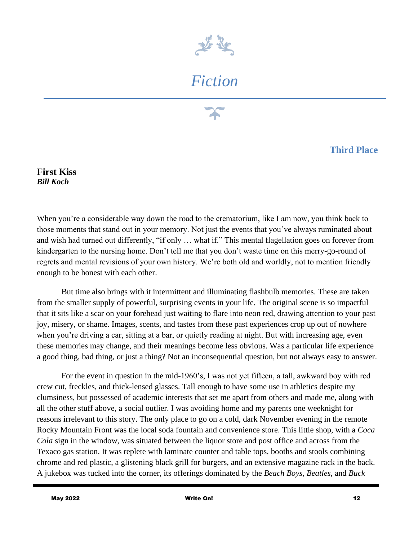

## *Fiction*

#### **Third Place**

**First Kiss** *Bill Koch*

When you're a considerable way down the road to the crematorium, like I am now, you think back to those moments that stand out in your memory. Not just the events that you've always ruminated about and wish had turned out differently, "if only … what if." This mental flagellation goes on forever from kindergarten to the nursing home. Don't tell me that you don't waste time on this merry-go-round of regrets and mental revisions of your own history. We're both old and worldly, not to mention friendly enough to be honest with each other.

But time also brings with it intermittent and illuminating flashbulb memories. These are taken from the smaller supply of powerful, surprising events in your life. The original scene is so impactful that it sits like a scar on your forehead just waiting to flare into neon red, drawing attention to your past joy, misery, or shame. Images, scents, and tastes from these past experiences crop up out of nowhere when you're driving a car, sitting at a bar, or quietly reading at night. But with increasing age, even these memories may change, and their meanings become less obvious. Was a particular life experience a good thing, bad thing, or just a thing? Not an inconsequential question, but not always easy to answer.

For the event in question in the mid-1960's, I was not yet fifteen, a tall, awkward boy with red crew cut, freckles, and thick-lensed glasses. Tall enough to have some use in athletics despite my clumsiness, but possessed of academic interests that set me apart from others and made me, along with all the other stuff above, a social outlier. I was avoiding home and my parents one weeknight for reasons irrelevant to this story. The only place to go on a cold, dark November evening in the remote Rocky Mountain Front was the local soda fountain and convenience store. This little shop, with a *Coca Cola* sign in the window, was situated between the liquor store and post office and across from the Texaco gas station. It was replete with laminate counter and table tops, booths and stools combining chrome and red plastic, a glistening black grill for burgers, and an extensive magazine rack in the back. A jukebox was tucked into the corner, its offerings dominated by the *Beach Boys*, *Beatles,* and *Buck*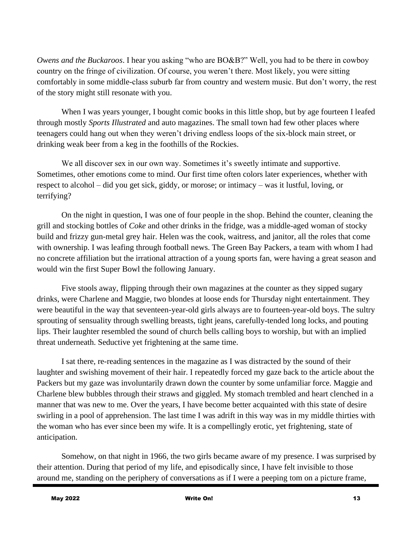*Owens and the Buckaroos*. I hear you asking "who are BO&B?" Well, you had to be there in cowboy country on the fringe of civilization. Of course, you weren't there. Most likely, you were sitting comfortably in some middle-class suburb far from country and western music. But don't worry, the rest of the story might still resonate with you.

When I was years younger, I bought comic books in this little shop, but by age fourteen I leafed through mostly *Sports Illustrated* and auto magazines. The small town had few other places where teenagers could hang out when they weren't driving endless loops of the six-block main street, or drinking weak beer from a keg in the foothills of the Rockies.

We all discover sex in our own way. Sometimes it's sweetly intimate and supportive. Sometimes, other emotions come to mind. Our first time often colors later experiences, whether with respect to alcohol – did you get sick, giddy, or morose; or intimacy – was it lustful, loving, or terrifying?

On the night in question, I was one of four people in the shop. Behind the counter, cleaning the grill and stocking bottles of *Coke* and other drinks in the fridge, was a middle-aged woman of stocky build and frizzy gun-metal grey hair. Helen was the cook, waitress, and janitor, all the roles that come with ownership. I was leafing through football news. The Green Bay Packers, a team with whom I had no concrete affiliation but the irrational attraction of a young sports fan, were having a great season and would win the first Super Bowl the following January.

Five stools away, flipping through their own magazines at the counter as they sipped sugary drinks, were Charlene and Maggie, two blondes at loose ends for Thursday night entertainment. They were beautiful in the way that seventeen-year-old girls always are to fourteen-year-old boys. The sultry sprouting of sensuality through swelling breasts, tight jeans, carefully-tended long locks, and pouting lips. Their laughter resembled the sound of church bells calling boys to worship, but with an implied threat underneath. Seductive yet frightening at the same time.

I sat there, re-reading sentences in the magazine as I was distracted by the sound of their laughter and swishing movement of their hair. I repeatedly forced my gaze back to the article about the Packers but my gaze was involuntarily drawn down the counter by some unfamiliar force. Maggie and Charlene blew bubbles through their straws and giggled. My stomach trembled and heart clenched in a manner that was new to me. Over the years, I have become better acquainted with this state of desire swirling in a pool of apprehension. The last time I was adrift in this way was in my middle thirties with the woman who has ever since been my wife. It is a compellingly erotic, yet frightening, state of anticipation.

Somehow, on that night in 1966, the two girls became aware of my presence. I was surprised by their attention. During that period of my life, and episodically since, I have felt invisible to those around me, standing on the periphery of conversations as if I were a peeping tom on a picture frame,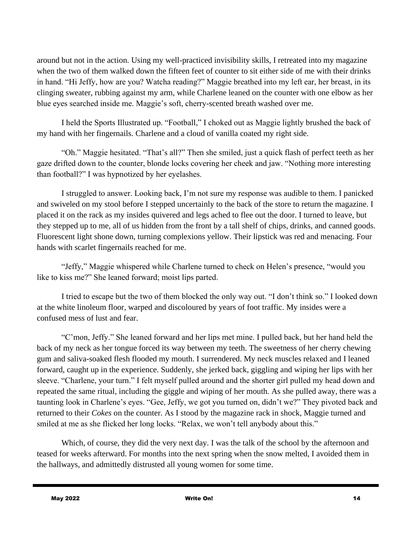around but not in the action. Using my well-practiced invisibility skills, I retreated into my magazine when the two of them walked down the fifteen feet of counter to sit either side of me with their drinks in hand. "Hi Jeffy, how are you? Watcha reading?" Maggie breathed into my left ear, her breast, in its clinging sweater, rubbing against my arm, while Charlene leaned on the counter with one elbow as her blue eyes searched inside me. Maggie's soft, cherry-scented breath washed over me.

I held the Sports Illustrated up. "Football," I choked out as Maggie lightly brushed the back of my hand with her fingernails. Charlene and a cloud of vanilla coated my right side.

"Oh." Maggie hesitated. "That's all?" Then she smiled, just a quick flash of perfect teeth as her gaze drifted down to the counter, blonde locks covering her cheek and jaw. "Nothing more interesting than football?" I was hypnotized by her eyelashes.

I struggled to answer. Looking back, I'm not sure my response was audible to them. I panicked and swiveled on my stool before I stepped uncertainly to the back of the store to return the magazine. I placed it on the rack as my insides quivered and legs ached to flee out the door. I turned to leave, but they stepped up to me, all of us hidden from the front by a tall shelf of chips, drinks, and canned goods. Fluorescent light shone down, turning complexions yellow. Their lipstick was red and menacing. Four hands with scarlet fingernails reached for me.

"Jeffy," Maggie whispered while Charlene turned to check on Helen's presence, "would you like to kiss me?" She leaned forward; moist lips parted.

I tried to escape but the two of them blocked the only way out. "I don't think so." I looked down at the white linoleum floor, warped and discoloured by years of foot traffic. My insides were a confused mess of lust and fear.

"C'mon, Jeffy." She leaned forward and her lips met mine. I pulled back, but her hand held the back of my neck as her tongue forced its way between my teeth. The sweetness of her cherry chewing gum and saliva-soaked flesh flooded my mouth. I surrendered. My neck muscles relaxed and I leaned forward, caught up in the experience. Suddenly, she jerked back, giggling and wiping her lips with her sleeve. "Charlene, your turn." I felt myself pulled around and the shorter girl pulled my head down and repeated the same ritual, including the giggle and wiping of her mouth. As she pulled away, there was a taunting look in Charlene's eyes. "Gee, Jeffy, we got you turned on, didn't we?" They pivoted back and returned to their *Cokes* on the counter. As I stood by the magazine rack in shock, Maggie turned and smiled at me as she flicked her long locks. "Relax, we won't tell anybody about this."

Which, of course, they did the very next day. I was the talk of the school by the afternoon and teased for weeks afterward. For months into the next spring when the snow melted, I avoided them in the hallways, and admittedly distrusted all young women for some time.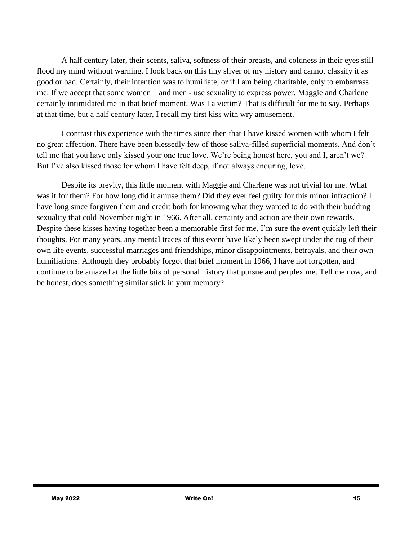A half century later, their scents, saliva, softness of their breasts, and coldness in their eyes still flood my mind without warning. I look back on this tiny sliver of my history and cannot classify it as good or bad. Certainly, their intention was to humiliate, or if I am being charitable, only to embarrass me. If we accept that some women – and men - use sexuality to express power, Maggie and Charlene certainly intimidated me in that brief moment. Was I a victim? That is difficult for me to say. Perhaps at that time, but a half century later, I recall my first kiss with wry amusement.

I contrast this experience with the times since then that I have kissed women with whom I felt no great affection. There have been blessedly few of those saliva-filled superficial moments. And don't tell me that you have only kissed your one true love. We're being honest here, you and I, aren't we? But I've also kissed those for whom I have felt deep, if not always enduring, love.

Despite its brevity, this little moment with Maggie and Charlene was not trivial for me. What was it for them? For how long did it amuse them? Did they ever feel guilty for this minor infraction? I have long since forgiven them and credit both for knowing what they wanted to do with their budding sexuality that cold November night in 1966. After all, certainty and action are their own rewards. Despite these kisses having together been a memorable first for me, I'm sure the event quickly left their thoughts. For many years, any mental traces of this event have likely been swept under the rug of their own life events, successful marriages and friendships, minor disappointments, betrayals, and their own humiliations. Although they probably forgot that brief moment in 1966, I have not forgotten, and continue to be amazed at the little bits of personal history that pursue and perplex me. Tell me now, and be honest, does something similar stick in your memory?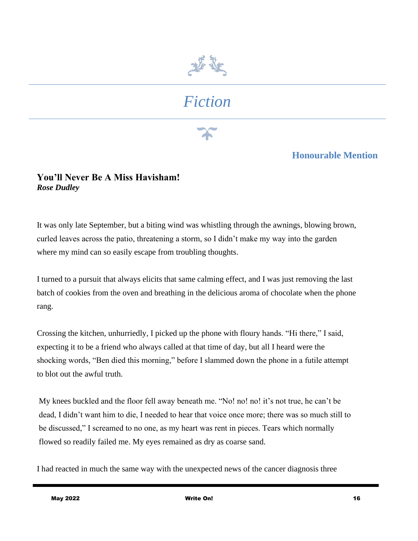

# *Fiction*

#### **Honourable Mention**

#### **You'll Never Be A Miss Havisham!** *Rose Dudley*

It was only late September, but a biting wind was whistling through the awnings, blowing brown, curled leaves across the patio, threatening a storm, so I didn't make my way into the garden where my mind can so easily escape from troubling thoughts.

I turned to a pursuit that always elicits that same calming effect, and I was just removing the last batch of cookies from the oven and breathing in the delicious aroma of chocolate when the phone rang.

Crossing the kitchen, unhurriedly, I picked up the phone with floury hands. "Hi there," I said, expecting it to be a friend who always called at that time of day, but all I heard were the shocking words, "Ben died this morning," before I slammed down the phone in a futile attempt to blot out the awful truth.

My knees buckled and the floor fell away beneath me. "No! no! no! it's not true, he can't be dead, I didn't want him to die, I needed to hear that voice once more; there was so much still to be discussed," I screamed to no one, as my heart was rent in pieces. Tears which normally flowed so readily failed me. My eyes remained as dry as coarse sand.

I had reacted in much the same way with the unexpected news of the cancer diagnosis three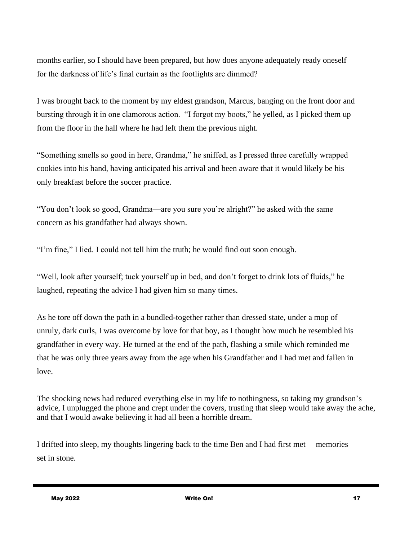months earlier, so I should have been prepared, but how does anyone adequately ready oneself for the darkness of life's final curtain as the footlights are dimmed?

I was brought back to the moment by my eldest grandson, Marcus, banging on the front door and bursting through it in one clamorous action. "I forgot my boots," he yelled, as I picked them up from the floor in the hall where he had left them the previous night.

"Something smells so good in here, Grandma," he sniffed, as I pressed three carefully wrapped cookies into his hand, having anticipated his arrival and been aware that it would likely be his only breakfast before the soccer practice.

"You don't look so good, Grandma—are you sure you're alright?" he asked with the same concern as his grandfather had always shown.

"I'm fine," I lied. I could not tell him the truth; he would find out soon enough.

"Well, look after yourself; tuck yourself up in bed, and don't forget to drink lots of fluids," he laughed, repeating the advice I had given him so many times.

As he tore off down the path in a bundled-together rather than dressed state, under a mop of unruly, dark curls, I was overcome by love for that boy, as I thought how much he resembled his grandfather in every way. He turned at the end of the path, flashing a smile which reminded me that he was only three years away from the age when his Grandfather and I had met and fallen in love.

The shocking news had reduced everything else in my life to nothingness, so taking my grandson's advice, I unplugged the phone and crept under the covers, trusting that sleep would take away the ache, and that I would awake believing it had all been a horrible dream.

I drifted into sleep, my thoughts lingering back to the time Ben and I had first met— memories set in stone.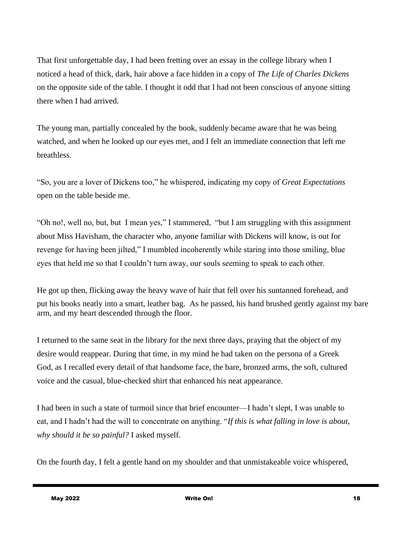That first unforgettable day, I had been fretting over an essay in the college library when I noticed a head of thick, dark, hair above a face hidden in a copy of *The Life of Charles Dickens* on the opposite side of the table. I thought it odd that I had not been conscious of anyone sitting there when I had arrived.

The young man, partially concealed by the book, suddenly became aware that he was being watched, and when he looked up our eyes met, and I felt an immediate connection that left me breathless.

"So, you are a lover of Dickens too," he whispered, indicating my copy of *Great Expectations* open on the table beside me.

"Oh no!, well no, but, but I mean yes," I stammered, "but I am struggling with this assignment about Miss Havisham, the character who, anyone familiar with Dickens will know, is out for revenge for having been jilted," I mumbled incoherently while staring into those smiling, blue eyes that held me so that I couldn't turn away, our souls seeming to speak to each other.

He got up then, flicking away the heavy wave of hair that fell over his suntanned forehead, and put his books neatly into a smart, leather bag. As he passed, his hand brushed gently against my bare arm, and my heart descended through the floor.

I returned to the same seat in the library for the next three days, praying that the object of my desire would reappear. During that time, in my mind he had taken on the persona of a Greek God, as I recalled every detail of that handsome face, the bare, bronzed arms, the soft, cultured voice and the casual, blue-checked shirt that enhanced his neat appearance.

I had been in such a state of turmoil since that brief encounter—I hadn't slept, I was unable to eat, and I hadn't had the will to concentrate on anything. "*If this is what falling in love is about, why should it be so painful?* I asked myself.

On the fourth day, I felt a gentle hand on my shoulder and that unmistakeable voice whispered,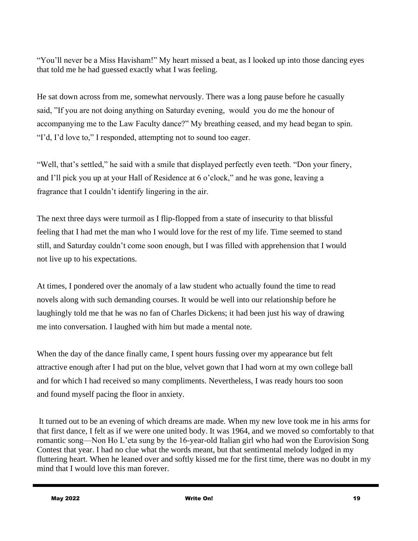"You'll never be a Miss Havisham!" My heart missed a beat, as I looked up into those dancing eyes that told me he had guessed exactly what I was feeling.

He sat down across from me, somewhat nervously. There was a long pause before he casually said, "If you are not doing anything on Saturday evening, would you do me the honour of accompanying me to the Law Faculty dance?" My breathing ceased, and my head began to spin. "I'd, I'd love to," I responded, attempting not to sound too eager.

"Well, that's settled," he said with a smile that displayed perfectly even teeth. "Don your finery, and I'll pick you up at your Hall of Residence at 6 o'clock," and he was gone, leaving a fragrance that I couldn't identify lingering in the air.

The next three days were turmoil as I flip-flopped from a state of insecurity to that blissful feeling that I had met the man who I would love for the rest of my life. Time seemed to stand still, and Saturday couldn't come soon enough, but I was filled with apprehension that I would not live up to his expectations.

At times, I pondered over the anomaly of a law student who actually found the time to read novels along with such demanding courses. It would be well into our relationship before he laughingly told me that he was no fan of Charles Dickens; it had been just his way of drawing me into conversation. I laughed with him but made a mental note.

When the day of the dance finally came, I spent hours fussing over my appearance but felt attractive enough after I had put on the blue, velvet gown that I had worn at my own college ball and for which I had received so many compliments. Nevertheless, I was ready hours too soon and found myself pacing the floor in anxiety.

It turned out to be an evening of which dreams are made. When my new love took me in his arms for that first dance, I felt as if we were one united body. It was 1964, and we moved so comfortably to that romantic song—Non Ho L'eta sung by the 16-year-old Italian girl who had won the Eurovision Song Contest that year. I had no clue what the words meant, but that sentimental melody lodged in my fluttering heart. When he leaned over and softly kissed me for the first time, there was no doubt in my mind that I would love this man forever.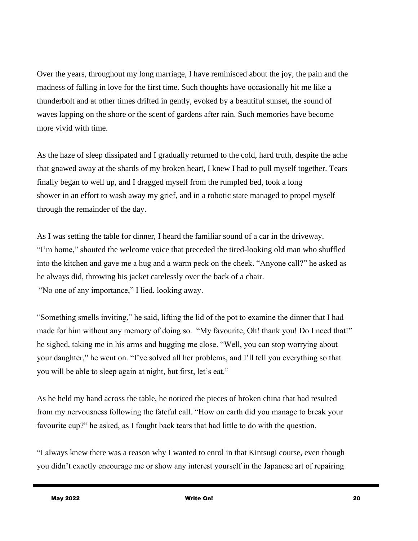Over the years, throughout my long marriage, I have reminisced about the joy, the pain and the madness of falling in love for the first time. Such thoughts have occasionally hit me like a thunderbolt and at other times drifted in gently, evoked by a beautiful sunset, the sound of waves lapping on the shore or the scent of gardens after rain. Such memories have become more vivid with time.

As the haze of sleep dissipated and I gradually returned to the cold, hard truth, despite the ache that gnawed away at the shards of my broken heart, I knew I had to pull myself together. Tears finally began to well up, and I dragged myself from the rumpled bed, took a long shower in an effort to wash away my grief, and in a robotic state managed to propel myself through the remainder of the day.

As I was setting the table for dinner, I heard the familiar sound of a car in the driveway. "I'm home," shouted the welcome voice that preceded the tired-looking old man who shuffled into the kitchen and gave me a hug and a warm peck on the cheek. "Anyone call?" he asked as he always did, throwing his jacket carelessly over the back of a chair. "No one of any importance," I lied, looking away.

"Something smells inviting," he said, lifting the lid of the pot to examine the dinner that I had made for him without any memory of doing so. "My favourite, Oh! thank you! Do I need that!" he sighed, taking me in his arms and hugging me close. "Well, you can stop worrying about your daughter," he went on. "I've solved all her problems, and I'll tell you everything so that you will be able to sleep again at night, but first, let's eat."

As he held my hand across the table, he noticed the pieces of broken china that had resulted from my nervousness following the fateful call. "How on earth did you manage to break your favourite cup?" he asked, as I fought back tears that had little to do with the question.

"I always knew there was a reason why I wanted to enrol in that Kintsugi course, even though you didn't exactly encourage me or show any interest yourself in the Japanese art of repairing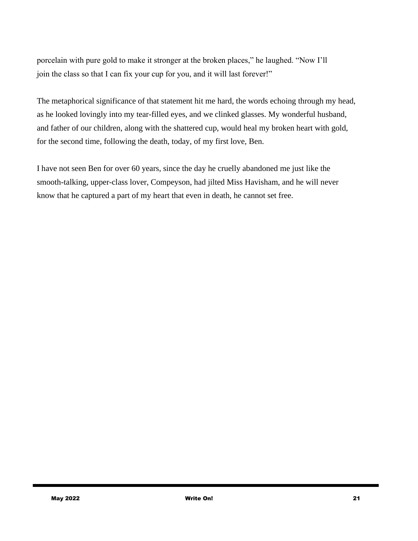porcelain with pure gold to make it stronger at the broken places," he laughed. "Now I'll join the class so that I can fix your cup for you, and it will last forever!"

The metaphorical significance of that statement hit me hard, the words echoing through my head, as he looked lovingly into my tear-filled eyes, and we clinked glasses. My wonderful husband, and father of our children, along with the shattered cup, would heal my broken heart with gold, for the second time, following the death, today, of my first love, Ben.

I have not seen Ben for over 60 years, since the day he cruelly abandoned me just like the smooth-talking, upper-class lover, Compeyson, had jilted Miss Havisham, and he will never know that he captured a part of my heart that even in death, he cannot set free.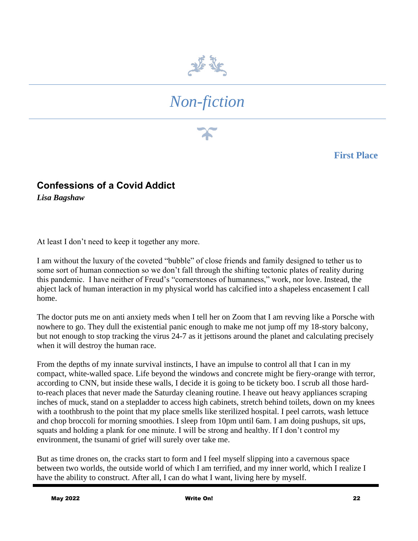

# *Non-fiction*

**First Place**

### **Confessions of a Covid Addict**

*Lisa Bagshaw*

At least I don't need to keep it together any more.

I am without the luxury of the coveted "bubble" of close friends and family designed to tether us to some sort of human connection so we don't fall through the shifting tectonic plates of reality during this pandemic. I have neither of Freud's "cornerstones of humanness," work, nor love. Instead, the abject lack of human interaction in my physical world has calcified into a shapeless encasement I call home.

The doctor puts me on anti anxiety meds when I tell her on Zoom that I am revving like a Porsche with nowhere to go. They dull the existential panic enough to make me not jump off my 18-story balcony, but not enough to stop tracking the virus 24-7 as it jettisons around the planet and calculating precisely when it will destroy the human race.

From the depths of my innate survival instincts, I have an impulse to control all that I can in my compact, white-walled space. Life beyond the windows and concrete might be fiery-orange with terror, according to CNN, but inside these walls, I decide it is going to be tickety boo. I scrub all those hardto-reach places that never made the Saturday cleaning routine. I heave out heavy appliances scraping inches of muck, stand on a stepladder to access high cabinets, stretch behind toilets, down on my knees with a toothbrush to the point that my place smells like sterilized hospital. I peel carrots, wash lettuce and chop broccoli for morning smoothies. I sleep from 10pm until 6am. I am doing pushups, sit ups, squats and holding a plank for one minute. I will be strong and healthy. If I don't control my environment, the tsunami of grief will surely over take me.

But as time drones on, the cracks start to form and I feel myself slipping into a cavernous space between two worlds, the outside world of which I am terrified, and my inner world, which I realize I have the ability to construct. After all, I can do what I want, living here by myself.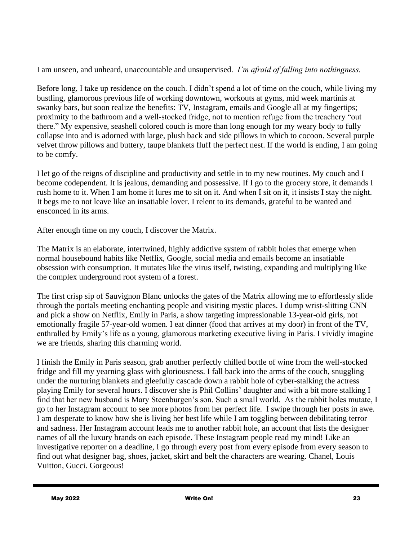I am unseen, and unheard, unaccountable and unsupervised. *I'm afraid of falling into nothingness.*

Before long, I take up residence on the couch. I didn't spend a lot of time on the couch, while living my bustling, glamorous previous life of working downtown, workouts at gyms, mid week martinis at swanky bars, but soon realize the benefits: TV, Instagram, emails and Google all at my fingertips; proximity to the bathroom and a well-stocked fridge, not to mention refuge from the treachery "out there." My expensive, seashell colored couch is more than long enough for my weary body to fully collapse into and is adorned with large, plush back and side pillows in which to cocoon. Several purple velvet throw pillows and buttery, taupe blankets fluff the perfect nest. If the world is ending, I am going to be comfy.

I let go of the reigns of discipline and productivity and settle in to my new routines. My couch and I become codependent. It is jealous, demanding and possessive. If I go to the grocery store, it demands I rush home to it. When I am home it lures me to sit on it. And when I sit on it, it insists I stay the night. It begs me to not leave like an insatiable lover. I relent to its demands, grateful to be wanted and ensconced in its arms.

After enough time on my couch, I discover the Matrix.

The Matrix is an elaborate, intertwined, highly addictive system of rabbit holes that emerge when normal housebound habits like Netflix, Google, social media and emails become an insatiable obsession with consumption. It mutates like the virus itself, twisting, expanding and multiplying like the complex underground root system of a forest.

The first crisp sip of Sauvignon Blanc unlocks the gates of the Matrix allowing me to effortlessly slide through the portals meeting enchanting people and visiting mystic places. I dump wrist-slitting CNN and pick a show on Netflix, Emily in Paris, a show targeting impressionable 13-year-old girls, not emotionally fragile 57-year-old women. I eat dinner (food that arrives at my door) in front of the TV, enthralled by Emily's life as a young, glamorous marketing executive living in Paris. I vividly imagine we are friends, sharing this charming world.

I finish the Emily in Paris season, grab another perfectly chilled bottle of wine from the well-stocked fridge and fill my yearning glass with gloriousness. I fall back into the arms of the couch, snuggling under the nurturing blankets and gleefully cascade down a rabbit hole of cyber-stalking the actress playing Emily for several hours. I discover she is Phil Collins' daughter and with a bit more stalking I find that her new husband is Mary Steenburgen's son. Such a small world. As the rabbit holes mutate, I go to her Instagram account to see more photos from her perfect life. I swipe through her posts in awe. I am desperate to know how she is living her best life while I am toggling between debilitating terror and sadness. Her Instagram account leads me to another rabbit hole, an account that lists the designer names of all the luxury brands on each episode. These Instagram people read my mind! Like an investigative reporter on a deadline, I go through every post from every episode from every season to find out what designer bag, shoes, jacket, skirt and belt the characters are wearing. Chanel, Louis Vuitton, Gucci. Gorgeous!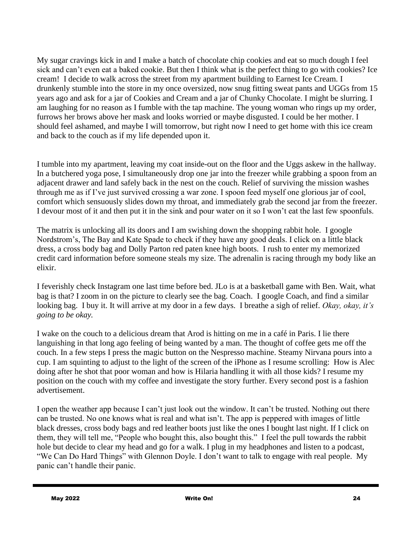My sugar cravings kick in and I make a batch of chocolate chip cookies and eat so much dough I feel sick and can't even eat a baked cookie. But then I think what is the perfect thing to go with cookies? Ice cream! I decide to walk across the street from my apartment building to Earnest Ice Cream. I drunkenly stumble into the store in my once oversized, now snug fitting sweat pants and UGGs from 15 years ago and ask for a jar of Cookies and Cream and a jar of Chunky Chocolate. I might be slurring. I am laughing for no reason as I fumble with the tap machine. The young woman who rings up my order, furrows her brows above her mask and looks worried or maybe disgusted. I could be her mother. I should feel ashamed, and maybe I will tomorrow, but right now I need to get home with this ice cream and back to the couch as if my life depended upon it.

I tumble into my apartment, leaving my coat inside-out on the floor and the Uggs askew in the hallway. In a butchered yoga pose, I simultaneously drop one jar into the freezer while grabbing a spoon from an adjacent drawer and land safely back in the nest on the couch. Relief of surviving the mission washes through me as if I've just survived crossing a war zone. I spoon feed myself one glorious jar of cool, comfort which sensuously slides down my throat, and immediately grab the second jar from the freezer. I devour most of it and then put it in the sink and pour water on it so I won't eat the last few spoonfuls.

The matrix is unlocking all its doors and I am swishing down the shopping rabbit hole. I google Nordstrom's, The Bay and Kate Spade to check if they have any good deals. I click on a little black dress, a cross body bag and Dolly Parton red paten knee high boots. I rush to enter my memorized credit card information before someone steals my size. The adrenalin is racing through my body like an elixir.

I feverishly check Instagram one last time before bed. JLo is at a basketball game with Ben. Wait, what bag is that? I zoom in on the picture to clearly see the bag. Coach. I google Coach, and find a similar looking bag. I buy it. It will arrive at my door in a few days. I breathe a sigh of relief. *Okay, okay, it's going to be okay.*

I wake on the couch to a delicious dream that Arod is hitting on me in a café in Paris. I lie there languishing in that long ago feeling of being wanted by a man. The thought of coffee gets me off the couch. In a few steps I press the magic button on the Nespresso machine. Steamy Nirvana pours into a cup. I am squinting to adjust to the light of the screen of the iPhone as I resume scrolling: How is Alec doing after he shot that poor woman and how is Hilaria handling it with all those kids? I resume my position on the couch with my coffee and investigate the story further. Every second post is a fashion advertisement.

I open the weather app because I can't just look out the window. It can't be trusted. Nothing out there can be trusted. No one knows what is real and what isn't. The app is peppered with images of little black dresses, cross body bags and red leather boots just like the ones I bought last night. If I click on them, they will tell me, "People who bought this, also bought this." I feel the pull towards the rabbit hole but decide to clear my head and go for a walk. I plug in my headphones and listen to a podcast, "We Can Do Hard Things" with Glennon Doyle. I don't want to talk to engage with real people. My panic can't handle their panic.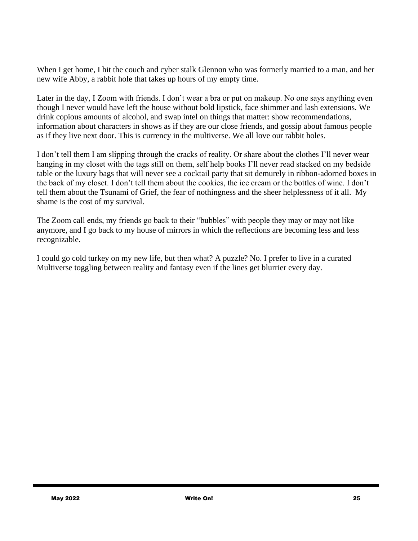When I get home, I hit the couch and cyber stalk Glennon who was formerly married to a man, and her new wife Abby, a rabbit hole that takes up hours of my empty time.

Later in the day, I Zoom with friends. I don't wear a bra or put on makeup. No one says anything even though I never would have left the house without bold lipstick, face shimmer and lash extensions. We drink copious amounts of alcohol, and swap intel on things that matter: show recommendations, information about characters in shows as if they are our close friends, and gossip about famous people as if they live next door. This is currency in the multiverse. We all love our rabbit holes.

I don't tell them I am slipping through the cracks of reality. Or share about the clothes I'll never wear hanging in my closet with the tags still on them, self help books I'll never read stacked on my bedside table or the luxury bags that will never see a cocktail party that sit demurely in ribbon-adorned boxes in the back of my closet. I don't tell them about the cookies, the ice cream or the bottles of wine. I don't tell them about the Tsunami of Grief, the fear of nothingness and the sheer helplessness of it all. My shame is the cost of my survival.

The Zoom call ends, my friends go back to their "bubbles" with people they may or may not like anymore, and I go back to my house of mirrors in which the reflections are becoming less and less recognizable.

I could go cold turkey on my new life, but then what? A puzzle? No. I prefer to live in a curated Multiverse toggling between reality and fantasy even if the lines get blurrier every day.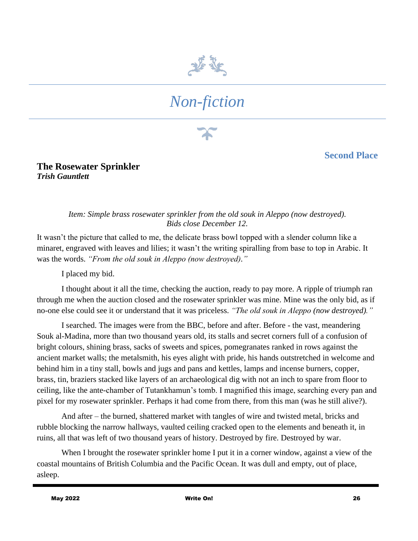

# *Non-fiction*

**Second Place**

**The Rosewater Sprinkler** *Trish Gauntlett*

#### *Item: Simple brass rosewater sprinkler from the old souk in Aleppo (now destroyed). Bids close December 12.*

It wasn't the picture that called to me, the delicate brass bowl topped with a slender column like a minaret, engraved with leaves and lilies; it wasn't the writing spiralling from base to top in Arabic. It was the words. *"From the old souk in Aleppo (now destroyed)."*

I placed my bid.

I thought about it all the time, checking the auction, ready to pay more. A ripple of triumph ran through me when the auction closed and the rosewater sprinkler was mine. Mine was the only bid, as if no-one else could see it or understand that it was priceless. *"The old souk in Aleppo (now destroyed)."*

I searched. The images were from the BBC, before and after. Before - the vast, meandering Souk al-Madina, more than two thousand years old, its stalls and secret corners full of a confusion of bright colours, shining brass, sacks of sweets and spices, pomegranates ranked in rows against the ancient market walls; the metalsmith, his eyes alight with pride, his hands outstretched in welcome and behind him in a tiny stall, bowls and jugs and pans and kettles, lamps and incense burners, copper, brass, tin, braziers stacked like layers of an archaeological dig with not an inch to spare from floor to ceiling, like the ante-chamber of Tutankhamun's tomb. I magnified this image, searching every pan and pixel for my rosewater sprinkler. Perhaps it had come from there, from this man (was he still alive?).

And after – the burned, shattered market with tangles of wire and twisted metal, bricks and rubble blocking the narrow hallways, vaulted ceiling cracked open to the elements and beneath it, in ruins, all that was left of two thousand years of history. Destroyed by fire. Destroyed by war.

When I brought the rosewater sprinkler home I put it in a corner window, against a view of the coastal mountains of British Columbia and the Pacific Ocean. It was dull and empty, out of place, asleep.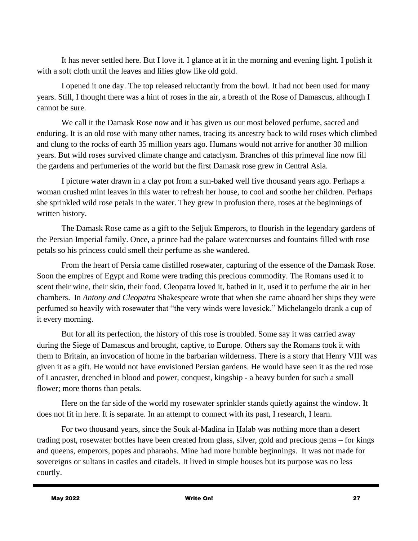It has never settled here. But I love it. I glance at it in the morning and evening light. I polish it with a soft cloth until the leaves and lilies glow like old gold.

I opened it one day. The top released reluctantly from the bowl. It had not been used for many years. Still, I thought there was a hint of roses in the air, a breath of the Rose of Damascus, although I cannot be sure.

We call it the Damask Rose now and it has given us our most beloved perfume, sacred and enduring. It is an old rose with many other names, tracing its ancestry back to wild roses which climbed and clung to the rocks of earth 35 million years ago. Humans would not arrive for another 30 million years. But wild roses survived climate change and cataclysm. Branches of this primeval line now fill the gardens and perfumeries of the world but the first Damask rose grew in Central Asia.

I picture water drawn in a clay pot from a sun-baked well five thousand years ago. Perhaps a woman crushed mint leaves in this water to refresh her house, to cool and soothe her children. Perhaps she sprinkled wild rose petals in the water. They grew in profusion there, roses at the beginnings of written history.

The Damask Rose came as a gift to the Seljuk Emperors, to flourish in the legendary gardens of the Persian Imperial family. Once, a prince had the palace watercourses and fountains filled with rose petals so his princess could smell their perfume as she wandered.

From the heart of Persia came distilled rosewater, capturing of the essence of the Damask Rose. Soon the empires of Egypt and Rome were trading this precious commodity. The Romans used it to scent their wine, their skin, their food. Cleopatra loved it, bathed in it, used it to perfume the air in her chambers. In *Antony and Cleopatra* Shakespeare wrote that when she came aboard her ships they were perfumed so heavily with rosewater that "the very winds were lovesick." Michelangelo drank a cup of it every morning.

But for all its perfection, the history of this rose is troubled. Some say it was carried away during the Siege of Damascus and brought, captive, to Europe. Others say the Romans took it with them to Britain, an invocation of home in the barbarian wilderness. There is a story that Henry VIII was given it as a gift. He would not have envisioned Persian gardens. He would have seen it as the red rose of Lancaster, drenched in blood and power, conquest, kingship - a heavy burden for such a small flower; more thorns than petals.

Here on the far side of the world my rosewater sprinkler stands quietly against the window. It does not fit in here. It is separate. In an attempt to connect with its past, I research, I learn.

For two thousand years, since the Souk al-Madina in Ḥalab was nothing more than a desert trading post, rosewater bottles have been created from glass, silver, gold and precious gems – for kings and queens, emperors, popes and pharaohs. Mine had more humble beginnings. It was not made for sovereigns or sultans in castles and citadels. It lived in simple houses but its purpose was no less courtly.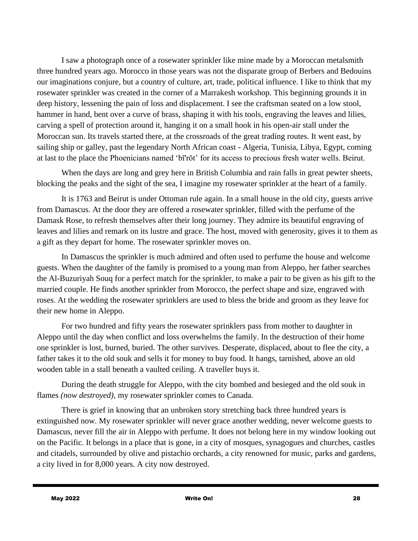I saw a photograph once of a rosewater sprinkler like mine made by a Moroccan metalsmith three hundred years ago. Morocco in those years was not the disparate group of Berbers and Bedouins our imaginations conjure, but a country of culture, art, trade, political influence. I like to think that my rosewater sprinkler was created in the corner of a Marrakesh workshop. This beginning grounds it in deep history, lessening the pain of loss and displacement. I see the craftsman seated on a low stool, hammer in hand, bent over a curve of brass, shaping it with his tools, engraving the leaves and lilies, carving a spell of protection around it, hanging it on a small hook in his open-air stall under the Moroccan sun. Its travels started there, at the crossroads of the great trading routes. It went east, by sailing ship or galley, past the legendary North African coast - Algeria, Tunisia, Libya, Egypt, coming at last to the place the Phoenicians named 'bī'rōt' for its access to precious fresh water wells. Beirut.

When the days are long and grey here in British Columbia and rain falls in great pewter sheets, blocking the peaks and the sight of the sea, I imagine my rosewater sprinkler at the heart of a family.

It is 1763 and Beirut is under Ottoman rule again. In a small house in the old city, guests arrive from Damascus. At the door they are offered a rosewater sprinkler, filled with the perfume of the Damask Rose, to refresh themselves after their long journey. They admire its beautiful engraving of leaves and lilies and remark on its lustre and grace. The host, moved with generosity, gives it to them as a gift as they depart for home. The rosewater sprinkler moves on.

In Damascus the sprinkler is much admired and often used to perfume the house and welcome guests. When the daughter of the family is promised to a young man from Aleppo, her father searches the Al-Buzuriyah Souq for a perfect match for the sprinkler, to make a pair to be given as his gift to the married couple. He finds another sprinkler from Morocco, the perfect shape and size, engraved with roses. At the wedding the rosewater sprinklers are used to bless the bride and groom as they leave for their new home in Aleppo.

For two hundred and fifty years the rosewater sprinklers pass from mother to daughter in Aleppo until the day when conflict and loss overwhelms the family. In the destruction of their home one sprinkler is lost, burned, buried. The other survives. Desperate, displaced, about to flee the city, a father takes it to the old souk and sells it for money to buy food. It hangs, tarnished, above an old wooden table in a stall beneath a vaulted ceiling. A traveller buys it.

During the death struggle for Aleppo, with the city bombed and besieged and the old souk in flames *(now destroyed)*, my rosewater sprinkler comes to Canada.

There is grief in knowing that an unbroken story stretching back three hundred years is extinguished now. My rosewater sprinkler will never grace another wedding, never welcome guests to Damascus, never fill the air in Aleppo with perfume. It does not belong here in my window looking out on the Pacific. It belongs in a place that is gone, in a city of mosques, synagogues and churches, castles and citadels, surrounded by olive and pistachio orchards, a city renowned for music, parks and gardens, a city lived in for 8,000 years. A city now destroyed.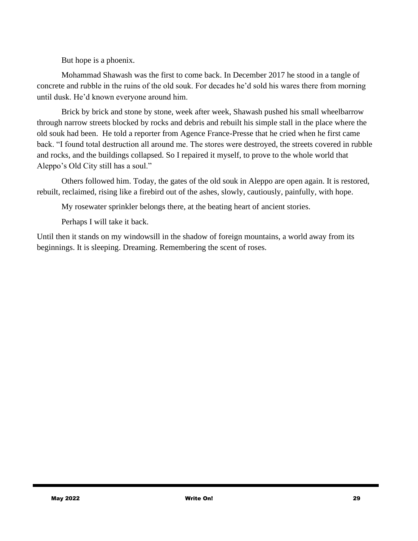But hope is a phoenix.

Mohammad Shawash was the first to come back. In December 2017 he stood in a tangle of concrete and rubble in the ruins of the old souk. For decades he'd sold his wares there from morning until dusk. He'd known everyone around him.

Brick by brick and stone by stone, week after week, Shawash pushed his small wheelbarrow through narrow streets blocked by rocks and debris and rebuilt his simple stall in the place where the old souk had been. He told a reporter from Agence France-Presse that he cried when he first came back. "I found total destruction all around me. The stores were destroyed, the streets covered in rubble and rocks, and the buildings collapsed. So I repaired it myself, to prove to the whole world that Aleppo's Old City still has a soul."

Others followed him. Today, the gates of the old souk in Aleppo are open again. It is restored, rebuilt, reclaimed, rising like a firebird out of the ashes, slowly, cautiously, painfully, with hope.

My rosewater sprinkler belongs there, at the beating heart of ancient stories.

Perhaps I will take it back.

Until then it stands on my windowsill in the shadow of foreign mountains, a world away from its beginnings. It is sleeping. Dreaming. Remembering the scent of roses.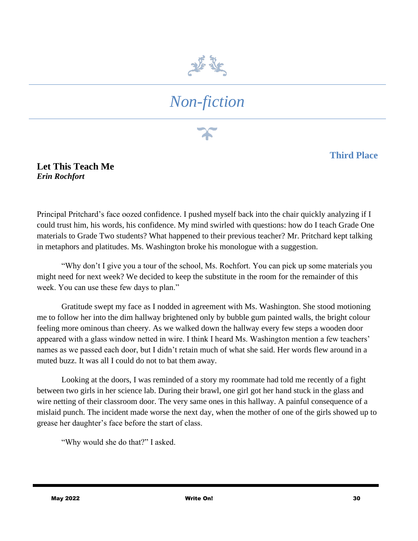

# *Non-fiction*

#### **Third Place**

**Let This Teach Me** *Erin Rochfort*

Principal Pritchard's face oozed confidence. I pushed myself back into the chair quickly analyzing if I could trust him, his words, his confidence. My mind swirled with questions: how do I teach Grade One materials to Grade Two students? What happened to their previous teacher? Mr. Pritchard kept talking in metaphors and platitudes. Ms. Washington broke his monologue with a suggestion.

"Why don't I give you a tour of the school, Ms. Rochfort. You can pick up some materials you might need for next week? We decided to keep the substitute in the room for the remainder of this week. You can use these few days to plan."

Gratitude swept my face as I nodded in agreement with Ms. Washington. She stood motioning me to follow her into the dim hallway brightened only by bubble gum painted walls, the bright colour feeling more ominous than cheery. As we walked down the hallway every few steps a wooden door appeared with a glass window netted in wire. I think I heard Ms. Washington mention a few teachers' names as we passed each door, but I didn't retain much of what she said. Her words flew around in a muted buzz. It was all I could do not to bat them away.

Looking at the doors, I was reminded of a story my roommate had told me recently of a fight between two girls in her science lab. During their brawl, one girl got her hand stuck in the glass and wire netting of their classroom door. The very same ones in this hallway. A painful consequence of a mislaid punch. The incident made worse the next day, when the mother of one of the girls showed up to grease her daughter's face before the start of class.

"Why would she do that?" I asked.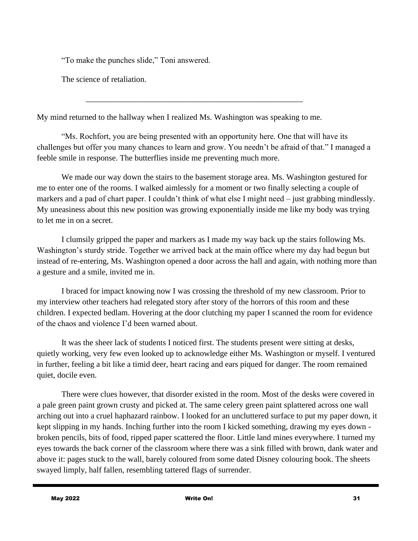"To make the punches slide," Toni answered.

The science of retaliation.

My mind returned to the hallway when I realized Ms. Washington was speaking to me.

\_\_\_\_\_\_\_\_\_\_\_\_\_\_\_\_\_\_\_\_\_\_\_\_\_\_\_\_\_\_\_\_\_\_\_\_\_\_\_\_\_\_\_\_\_\_\_\_\_\_\_\_\_

"Ms. Rochfort, you are being presented with an opportunity here. One that will have its challenges but offer you many chances to learn and grow. You needn't be afraid of that." I managed a feeble smile in response. The butterflies inside me preventing much more.

We made our way down the stairs to the basement storage area. Ms. Washington gestured for me to enter one of the rooms. I walked aimlessly for a moment or two finally selecting a couple of markers and a pad of chart paper. I couldn't think of what else I might need – just grabbing mindlessly. My uneasiness about this new position was growing exponentially inside me like my body was trying to let me in on a secret.

I clumsily gripped the paper and markers as I made my way back up the stairs following Ms. Washington's sturdy stride. Together we arrived back at the main office where my day had begun but instead of re-entering, Ms. Washington opened a door across the hall and again, with nothing more than a gesture and a smile, invited me in.

I braced for impact knowing now I was crossing the threshold of my new classroom. Prior to my interview other teachers had relegated story after story of the horrors of this room and these children. I expected bedlam. Hovering at the door clutching my paper I scanned the room for evidence of the chaos and violence I'd been warned about.

It was the sheer lack of students I noticed first. The students present were sitting at desks, quietly working, very few even looked up to acknowledge either Ms. Washington or myself. I ventured in further, feeling a bit like a timid deer, heart racing and ears piqued for danger. The room remained quiet, docile even.

There were clues however, that disorder existed in the room. Most of the desks were covered in a pale green paint grown crusty and picked at. The same celery green paint splattered across one wall arching out into a cruel haphazard rainbow. I looked for an uncluttered surface to put my paper down, it kept slipping in my hands. Inching further into the room I kicked something, drawing my eyes down broken pencils, bits of food, ripped paper scattered the floor. Little land mines everywhere. I turned my eyes towards the back corner of the classroom where there was a sink filled with brown, dank water and above it: pages stuck to the wall, barely coloured from some dated Disney colouring book. The sheets swayed limply, half fallen, resembling tattered flags of surrender.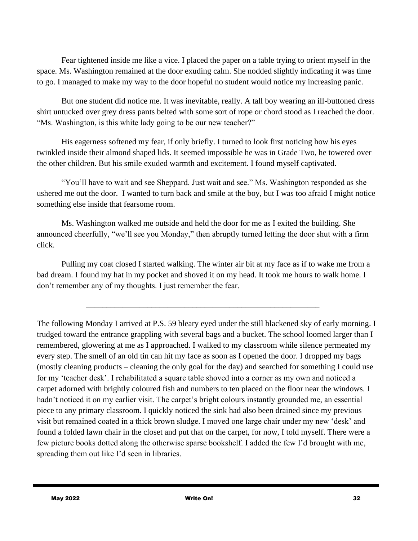Fear tightened inside me like a vice. I placed the paper on a table trying to orient myself in the space. Ms. Washington remained at the door exuding calm. She nodded slightly indicating it was time to go. I managed to make my way to the door hopeful no student would notice my increasing panic.

But one student did notice me. It was inevitable, really. A tall boy wearing an ill-buttoned dress shirt untucked over grey dress pants belted with some sort of rope or chord stood as I reached the door. "Ms. Washington, is this white lady going to be our new teacher?"

His eagerness softened my fear, if only briefly. I turned to look first noticing how his eyes twinkled inside their almond shaped lids. It seemed impossible he was in Grade Two, he towered over the other children. But his smile exuded warmth and excitement. I found myself captivated.

"You'll have to wait and see Sheppard. Just wait and see." Ms. Washington responded as she ushered me out the door. I wanted to turn back and smile at the boy, but I was too afraid I might notice something else inside that fearsome room.

Ms. Washington walked me outside and held the door for me as I exited the building. She announced cheerfully, "we'll see you Monday," then abruptly turned letting the door shut with a firm click.

Pulling my coat closed I started walking. The winter air bit at my face as if to wake me from a bad dream. I found my hat in my pocket and shoved it on my head. It took me hours to walk home. I don't remember any of my thoughts. I just remember the fear.

\_\_\_\_\_\_\_\_\_\_\_\_\_\_\_\_\_\_\_\_\_\_\_\_\_\_\_\_\_\_\_\_\_\_\_\_\_\_\_\_\_\_\_\_\_\_\_\_\_\_\_\_\_\_\_\_\_

The following Monday I arrived at P.S. 59 bleary eyed under the still blackened sky of early morning. I trudged toward the entrance grappling with several bags and a bucket. The school loomed larger than I remembered, glowering at me as I approached. I walked to my classroom while silence permeated my every step. The smell of an old tin can hit my face as soon as I opened the door. I dropped my bags (mostly cleaning products – cleaning the only goal for the day) and searched for something I could use for my 'teacher desk'. I rehabilitated a square table shoved into a corner as my own and noticed a carpet adorned with brightly coloured fish and numbers to ten placed on the floor near the windows. I hadn't noticed it on my earlier visit. The carpet's bright colours instantly grounded me, an essential piece to any primary classroom. I quickly noticed the sink had also been drained since my previous visit but remained coated in a thick brown sludge. I moved one large chair under my new 'desk' and found a folded lawn chair in the closet and put that on the carpet, for now, I told myself. There were a few picture books dotted along the otherwise sparse bookshelf. I added the few I'd brought with me, spreading them out like I'd seen in libraries.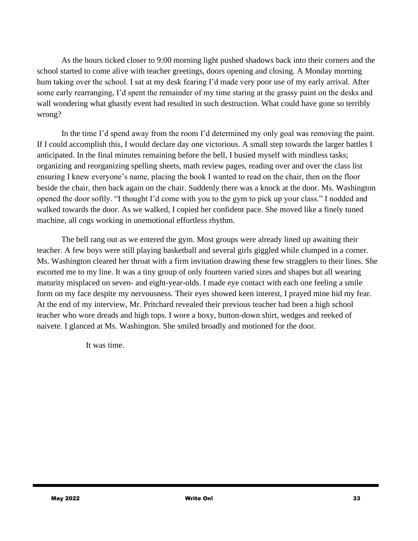As the hours ticked closer to 9:00 morning light pushed shadows back into their corners and the school started to come alive with teacher greetings, doors opening and closing. A Monday morning hum taking over the school. I sat at my desk fearing I'd made very poor use of my early arrival. After some early rearranging, I'd spent the remainder of my time staring at the grassy paint on the desks and wall wondering what ghastly event had resulted in such destruction. What could have gone so terribly wrong?

In the time I'd spend away from the room I'd determined my only goal was removing the paint. If I could accomplish this, I would declare day one victorious. A small step towards the larger battles I anticipated. In the final minutes remaining before the bell, I busied myself with mindless tasks; organizing and reorganizing spelling sheets, math review pages, reading over and over the class list ensuring I knew everyone's name, placing the book I wanted to read on the chair, then on the floor beside the chair, then back again on the chair. Suddenly there was a knock at the door. Ms. Washington opened the door softly. "I thought I'd come with you to the gym to pick up your class." I nodded and walked towards the door. As we walked, I copied her confident pace. She moved like a finely tuned machine, all cogs working in unemotional effortless rhythm.

The bell rang out as we entered the gym. Most groups were already lined up awaiting their teacher. A few boys were still playing basketball and several girls giggled while clumped in a corner. Ms. Washington cleared her throat with a firm invitation drawing these few stragglers to their lines. She escorted me to my line. It was a tiny group of only fourteen varied sizes and shapes but all wearing maturity misplaced on seven- and eight-year-olds. I made eye contact with each one feeling a smile form on my face despite my nervousness. Their eyes showed keen interest, I prayed mine hid my fear. At the end of my interview, Mr. Pritchard revealed their previous teacher had been a high school teacher who wore dreads and high tops. I wore a boxy, button-down shirt, wedges and reeked of naivete. I glanced at Ms. Washington. She smiled broadly and motioned for the door.

It was time.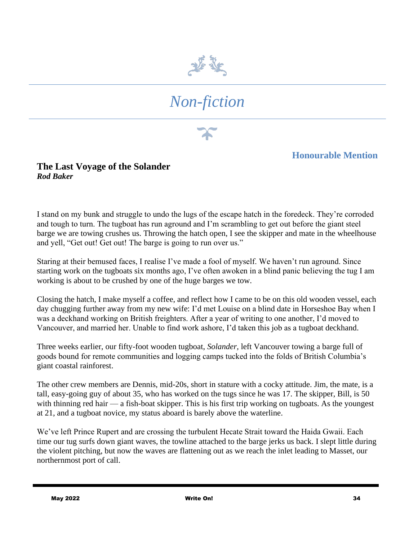

# *Non-fiction*

#### **Honourable Mention**

#### **The Last Voyage of the Solander** *Rod Baker*

I stand on my bunk and struggle to undo the lugs of the escape hatch in the foredeck. They're corroded and tough to turn. The tugboat has run aground and I'm scrambling to get out before the giant steel barge we are towing crushes us. Throwing the hatch open, I see the skipper and mate in the wheelhouse and yell, "Get out! Get out! The barge is going to run over us."

Staring at their bemused faces, I realise I've made a fool of myself. We haven't run aground. Since starting work on the tugboats six months ago, I've often awoken in a blind panic believing the tug I am working is about to be crushed by one of the huge barges we tow.

Closing the hatch, I make myself a coffee, and reflect how I came to be on this old wooden vessel, each day chugging further away from my new wife: I'd met Louise on a blind date in Horseshoe Bay when I was a deckhand working on British freighters. After a year of writing to one another, I'd moved to Vancouver, and married her. Unable to find work ashore, I'd taken this job as a tugboat deckhand.

Three weeks earlier, our fifty-foot wooden tugboat, *Solander,* left Vancouver towing a barge full of goods bound for remote communities and logging camps tucked into the folds of British Columbia's giant coastal rainforest.

The other crew members are Dennis, mid-20s, short in stature with a cocky attitude. Jim, the mate, is a tall, easy-going guy of about 35, who has worked on the tugs since he was 17. The skipper, Bill, is 50 with thinning red hair — a fish-boat skipper. This is his first trip working on tugboats. As the youngest at 21, and a tugboat novice, my status aboard is barely above the waterline.

We've left Prince Rupert and are crossing the turbulent Hecate Strait toward the Haida Gwaii. Each time our tug surfs down giant waves, the towline attached to the barge jerks us back. I slept little during the violent pitching, but now the waves are flattening out as we reach the inlet leading to Masset, our northernmost port of call.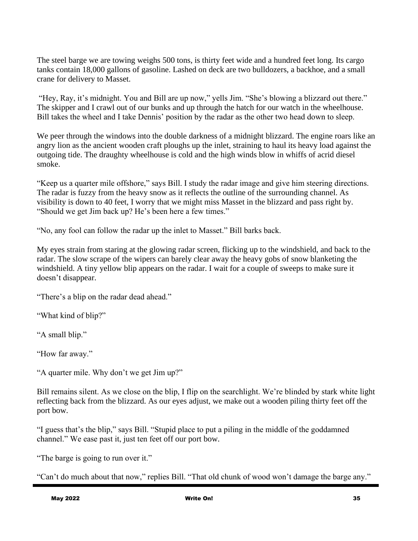The steel barge we are towing weighs 500 tons, is thirty feet wide and a hundred feet long. Its cargo tanks contain 18,000 gallons of gasoline. Lashed on deck are two bulldozers, a backhoe, and a small crane for delivery to Masset.

"Hey, Ray, it's midnight. You and Bill are up now," yells Jim. "She's blowing a blizzard out there." The skipper and I crawl out of our bunks and up through the hatch for our watch in the wheelhouse. Bill takes the wheel and I take Dennis' position by the radar as the other two head down to sleep.

We peer through the windows into the double darkness of a midnight blizzard. The engine roars like an angry lion as the ancient wooden craft ploughs up the inlet, straining to haul its heavy load against the outgoing tide. The draughty wheelhouse is cold and the high winds blow in whiffs of acrid diesel smoke.

"Keep us a quarter mile offshore," says Bill. I study the radar image and give him steering directions. The radar is fuzzy from the heavy snow as it reflects the outline of the surrounding channel. As visibility is down to 40 feet, I worry that we might miss Masset in the blizzard and pass right by. "Should we get Jim back up? He's been here a few times."

"No, any fool can follow the radar up the inlet to Masset." Bill barks back.

My eyes strain from staring at the glowing radar screen, flicking up to the windshield, and back to the radar. The slow scrape of the wipers can barely clear away the heavy gobs of snow blanketing the windshield. A tiny yellow blip appears on the radar. I wait for a couple of sweeps to make sure it doesn't disappear.

"There's a blip on the radar dead ahead."

"What kind of blip?"

"A small blip."

"How far away."

"A quarter mile. Why don't we get Jim up?"

Bill remains silent. As we close on the blip, I flip on the searchlight. We're blinded by stark white light reflecting back from the blizzard. As our eyes adjust, we make out a wooden piling thirty feet off the port bow.

"I guess that's the blip," says Bill. "Stupid place to put a piling in the middle of the goddamned channel." We ease past it, just ten feet off our port bow.

"The barge is going to run over it."

"Can't do much about that now," replies Bill. "That old chunk of wood won't damage the barge any."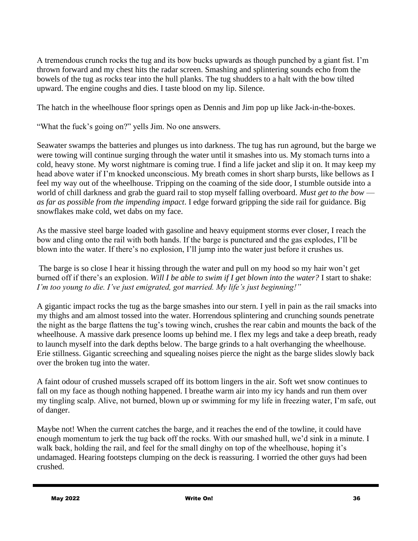A tremendous crunch rocks the tug and its bow bucks upwards as though punched by a giant fist. I'm thrown forward and my chest hits the radar screen. Smashing and splintering sounds echo from the bowels of the tug as rocks tear into the hull planks. The tug shudders to a halt with the bow tilted upward. The engine coughs and dies. I taste blood on my lip. Silence.

The hatch in the wheelhouse floor springs open as Dennis and Jim pop up like Jack-in-the-boxes.

"What the fuck's going on?" yells Jim. No one answers.

Seawater swamps the batteries and plunges us into darkness. The tug has run aground, but the barge we were towing will continue surging through the water until it smashes into us. My stomach turns into a cold, heavy stone. My worst nightmare is coming true. I find a life jacket and slip it on. It may keep my head above water if I'm knocked unconscious. My breath comes in short sharp bursts, like bellows as I feel my way out of the wheelhouse. Tripping on the coaming of the side door, I stumble outside into a world of chill darkness and grab the guard rail to stop myself falling overboard. *Must get to the bow as far as possible from the impending impact*. I edge forward gripping the side rail for guidance. Big snowflakes make cold, wet dabs on my face.

As the massive steel barge loaded with gasoline and heavy equipment storms ever closer, I reach the bow and cling onto the rail with both hands. If the barge is punctured and the gas explodes, I'll be blown into the water. If there's no explosion, I'll jump into the water just before it crushes us.

The barge is so close I hear it hissing through the water and pull on my hood so my hair won't get burned off if there's an explosion. *Will I be able to swim if I get blown into the water?* I start to shake: *I'm too young to die. I've just emigrated, got married. My life's just beginning!"*

A gigantic impact rocks the tug as the barge smashes into our stern. I yell in pain as the rail smacks into my thighs and am almost tossed into the water. Horrendous splintering and crunching sounds penetrate the night as the barge flattens the tug's towing winch, crushes the rear cabin and mounts the back of the wheelhouse. A massive dark presence looms up behind me. I flex my legs and take a deep breath, ready to launch myself into the dark depths below. The barge grinds to a halt overhanging the wheelhouse. Erie stillness. Gigantic screeching and squealing noises pierce the night as the barge slides slowly back over the broken tug into the water.

A faint odour of crushed mussels scraped off its bottom lingers in the air. Soft wet snow continues to fall on my face as though nothing happened. I breathe warm air into my icy hands and run them over my tingling scalp. Alive, not burned, blown up or swimming for my life in freezing water, I'm safe, out of danger.

Maybe not! When the current catches the barge, and it reaches the end of the towline, it could have enough momentum to jerk the tug back off the rocks. With our smashed hull, we'd sink in a minute. I walk back, holding the rail, and feel for the small dinghy on top of the wheelhouse, hoping it's undamaged. Hearing footsteps clumping on the deck is reassuring. I worried the other guys had been crushed.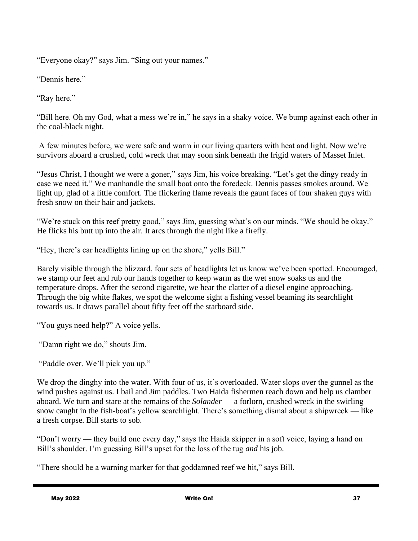"Everyone okay?" says Jim. "Sing out your names."

"Dennis here."

"Ray here."

"Bill here. Oh my God, what a mess we're in," he says in a shaky voice. We bump against each other in the coal-black night.

A few minutes before, we were safe and warm in our living quarters with heat and light. Now we're survivors aboard a crushed, cold wreck that may soon sink beneath the frigid waters of Masset Inlet.

"Jesus Christ, I thought we were a goner," says Jim, his voice breaking. "Let's get the dingy ready in case we need it." We manhandle the small boat onto the foredeck. Dennis passes smokes around. We light up, glad of a little comfort. The flickering flame reveals the gaunt faces of four shaken guys with fresh snow on their hair and jackets.

"We're stuck on this reef pretty good," says Jim, guessing what's on our minds. "We should be okay." He flicks his butt up into the air. It arcs through the night like a firefly.

"Hey, there's car headlights lining up on the shore," yells Bill."

Barely visible through the blizzard, four sets of headlights let us know we've been spotted. Encouraged, we stamp our feet and rub our hands together to keep warm as the wet snow soaks us and the temperature drops. After the second cigarette, we hear the clatter of a diesel engine approaching. Through the big white flakes, we spot the welcome sight a fishing vessel beaming its searchlight towards us. It draws parallel about fifty feet off the starboard side.

"You guys need help?" A voice yells.

"Damn right we do," shouts Jim.

"Paddle over. We'll pick you up."

We drop the dinghy into the water. With four of us, it's overloaded. Water slops over the gunnel as the wind pushes against us. I bail and Jim paddles. Two Haida fishermen reach down and help us clamber aboard. We turn and stare at the remains of the *Solander* — a forlorn, crushed wreck in the swirling snow caught in the fish-boat's yellow searchlight. There's something dismal about a shipwreck — like a fresh corpse. Bill starts to sob.

"Don't worry — they build one every day," says the Haida skipper in a soft voice, laying a hand on Bill's shoulder. I'm guessing Bill's upset for the loss of the tug *and* his job.

"There should be a warning marker for that goddamned reef we hit," says Bill.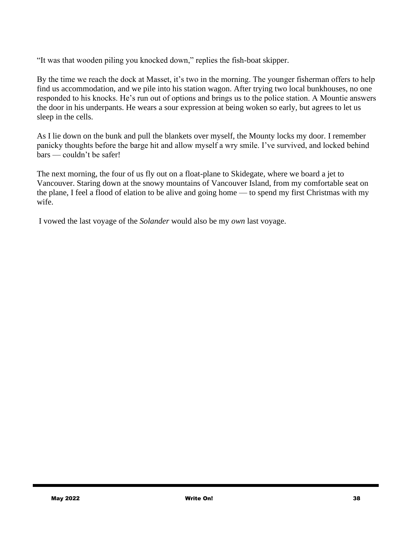"It was that wooden piling you knocked down," replies the fish-boat skipper.

By the time we reach the dock at Masset, it's two in the morning. The younger fisherman offers to help find us accommodation, and we pile into his station wagon. After trying two local bunkhouses, no one responded to his knocks. He's run out of options and brings us to the police station. A Mountie answers the door in his underpants. He wears a sour expression at being woken so early, but agrees to let us sleep in the cells.

As I lie down on the bunk and pull the blankets over myself, the Mounty locks my door. I remember panicky thoughts before the barge hit and allow myself a wry smile. I've survived, and locked behind bars — couldn't be safer!

The next morning, the four of us fly out on a float-plane to Skidegate, where we board a jet to Vancouver. Staring down at the snowy mountains of Vancouver Island, from my comfortable seat on the plane, I feel a flood of elation to be alive and going home — to spend my first Christmas with my wife.

I vowed the last voyage of the *Solander* would also be my *own* last voyage.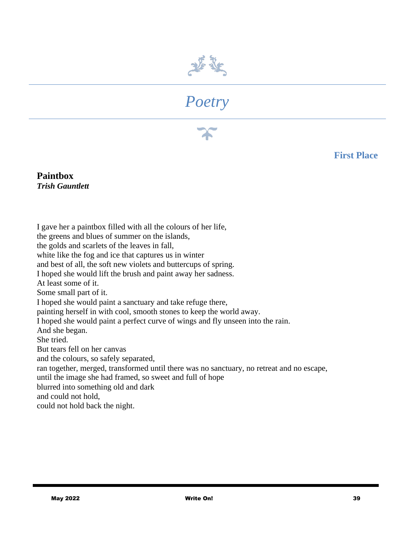



**First Place**

#### **Paintbox** *Trish Gauntlett*

I gave her a paintbox filled with all the colours of her life, the greens and blues of summer on the islands, the golds and scarlets of the leaves in fall, white like the fog and ice that captures us in winter and best of all, the soft new violets and buttercups of spring. I hoped she would lift the brush and paint away her sadness. At least some of it. Some small part of it. I hoped she would paint a sanctuary and take refuge there, painting herself in with cool, smooth stones to keep the world away. I hoped she would paint a perfect curve of wings and fly unseen into the rain. And she began. She tried. But tears fell on her canvas and the colours, so safely separated, ran together, merged, transformed until there was no sanctuary, no retreat and no escape, until the image she had framed, so sweet and full of hope blurred into something old and dark and could not hold, could not hold back the night.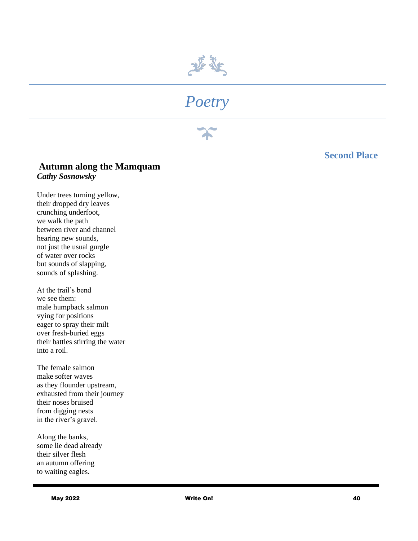

#### **Second Place**

#### **Autumn along the Mamquam** *Cathy Sosnowsky*

Under trees turning yellow, their dropped dry leaves crunching underfoot, we walk the path between river and channel hearing new sounds, not just the usual gurgle of water over rocks but sounds of slapping, sounds of splashing.

At the trail's bend we see them: male humpback salmon vying for positions eager to spray their milt over fresh-buried eggs their battles stirring the water into a roil.

The female salmon make softer waves as they flounder upstream, exhausted from their journey their noses bruised from digging nests in the river's gravel.

Along the banks, some lie dead already their silver flesh an autumn offering to waiting eagles.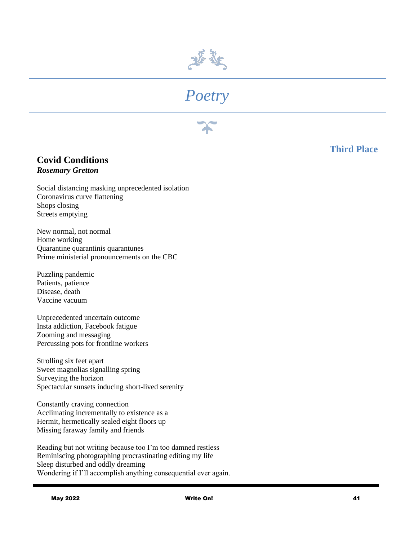

# *Poetry*



#### **Covid Conditions** *Rosemary Gretton*

Social distancing masking unprecedented isolation Coronavirus curve flattening Shops closing Streets emptying

New normal, not normal Home working Quarantine quarantinis quarantunes Prime ministerial pronouncements on the CBC

Puzzling pandemic Patients, patience Disease, death Vaccine vacuum

Unprecedented uncertain outcome Insta addiction, Facebook fatigue Zooming and messaging Percussing pots for frontline workers

Strolling six feet apart Sweet magnolias signalling spring Surveying the horizon Spectacular sunsets inducing short-lived serenity

Constantly craving connection Acclimating incrementally to existence as a Hermit, hermetically sealed eight floors up Missing faraway family and friends

Reading but not writing because too I'm too damned restless Reminiscing photographing procrastinating editing my life Sleep disturbed and oddly dreaming Wondering if I'll accomplish anything consequential ever again.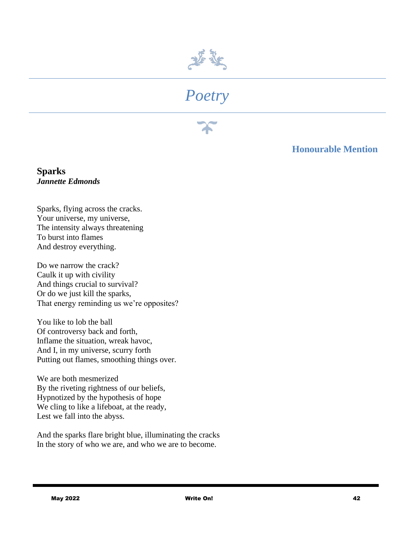

## *Poetry*

#### **Honourable Mention**

**Sparks** *Jannette Edmonds*

Sparks, flying across the cracks. Your universe, my universe, The intensity always threatening To burst into flames And destroy everything.

Do we narrow the crack? Caulk it up with civility And things crucial to survival? Or do we just kill the sparks, That energy reminding us we're opposites?

You like to lob the ball Of controversy back and forth, Inflame the situation, wreak havoc, And I, in my universe, scurry forth Putting out flames, smoothing things over.

We are both mesmerized By the riveting rightness of our beliefs, Hypnotized by the hypothesis of hope We cling to like a lifeboat, at the ready, Lest we fall into the abyss.

And the sparks flare bright blue, illuminating the cracks In the story of who we are, and who we are to become.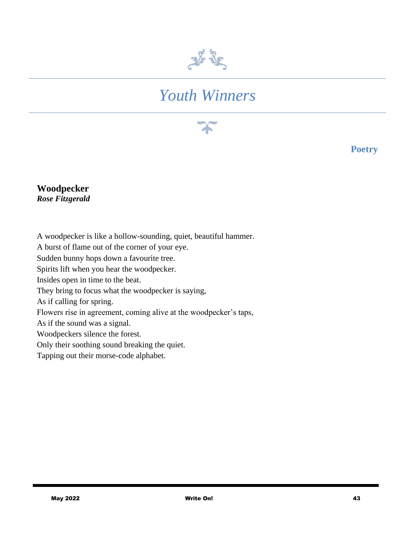

## *Youth Winners*

**Poetry**

#### **Woodpecker** *Rose Fitzgerald*

A woodpecker is like a hollow-sounding, quiet, beautiful hammer. A burst of flame out of the corner of your eye. Sudden bunny hops down a favourite tree. Spirits lift when you hear the woodpecker. Insides open in time to the beat. They bring to focus what the woodpecker is saying, As if calling for spring. Flowers rise in agreement, coming alive at the woodpecker's taps, As if the sound was a signal. Woodpeckers silence the forest. Only their soothing sound breaking the quiet. Tapping out their morse-code alphabet.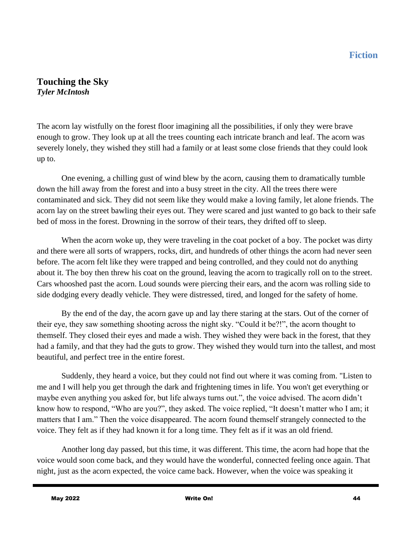#### **Touching the Sky**  *Tyler McIntosh*

The acorn lay wistfully on the forest floor imagining all the possibilities, if only they were brave enough to grow. They look up at all the trees counting each intricate branch and leaf. The acorn was severely lonely, they wished they still had a family or at least some close friends that they could look up to.

One evening, a chilling gust of wind blew by the acorn, causing them to dramatically tumble down the hill away from the forest and into a busy street in the city. All the trees there were contaminated and sick. They did not seem like they would make a loving family, let alone friends. The acorn lay on the street bawling their eyes out. They were scared and just wanted to go back to their safe bed of moss in the forest. Drowning in the sorrow of their tears, they drifted off to sleep.

When the acorn woke up, they were traveling in the coat pocket of a boy. The pocket was dirty and there were all sorts of wrappers, rocks, dirt, and hundreds of other things the acorn had never seen before. The acorn felt like they were trapped and being controlled, and they could not do anything about it. The boy then threw his coat on the ground, leaving the acorn to tragically roll on to the street. Cars whooshed past the acorn. Loud sounds were piercing their ears, and the acorn was rolling side to side dodging every deadly vehicle. They were distressed, tired, and longed for the safety of home.

By the end of the day, the acorn gave up and lay there staring at the stars. Out of the corner of their eye, they saw something shooting across the night sky. "Could it be?!", the acorn thought to themself. They closed their eyes and made a wish. They wished they were back in the forest, that they had a family, and that they had the guts to grow. They wished they would turn into the tallest, and most beautiful, and perfect tree in the entire forest.

Suddenly, they heard a voice, but they could not find out where it was coming from. "Listen to me and I will help you get through the dark and frightening times in life. You won't get everything or maybe even anything you asked for, but life always turns out.", the voice advised. The acorn didn't know how to respond, "Who are you?", they asked. The voice replied, "It doesn't matter who I am; it matters that I am." Then the voice disappeared. The acorn found themself strangely connected to the voice. They felt as if they had known it for a long time. They felt as if it was an old friend.

Another long day passed, but this time, it was different. This time, the acorn had hope that the voice would soon come back, and they would have the wonderful, connected feeling once again. That night, just as the acorn expected, the voice came back. However, when the voice was speaking it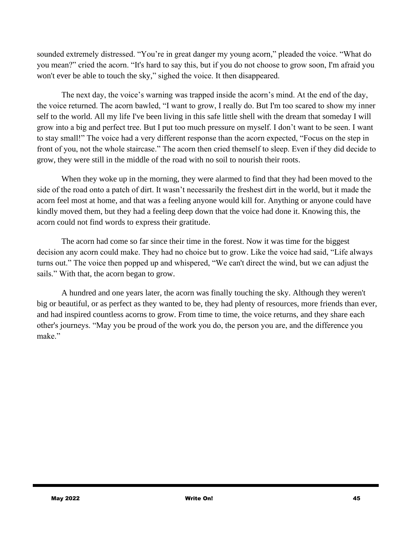sounded extremely distressed. "You're in great danger my young acorn," pleaded the voice. "What do you mean?" cried the acorn. "It's hard to say this, but if you do not choose to grow soon, I'm afraid you won't ever be able to touch the sky," sighed the voice. It then disappeared.

The next day, the voice's warning was trapped inside the acorn's mind. At the end of the day, the voice returned. The acorn bawled, "I want to grow, I really do. But I'm too scared to show my inner self to the world. All my life I've been living in this safe little shell with the dream that someday I will grow into a big and perfect tree. But I put too much pressure on myself. I don't want to be seen. I want to stay small!" The voice had a very different response than the acorn expected, "Focus on the step in front of you, not the whole staircase." The acorn then cried themself to sleep. Even if they did decide to grow, they were still in the middle of the road with no soil to nourish their roots.

When they woke up in the morning, they were alarmed to find that they had been moved to the side of the road onto a patch of dirt. It wasn't necessarily the freshest dirt in the world, but it made the acorn feel most at home, and that was a feeling anyone would kill for. Anything or anyone could have kindly moved them, but they had a feeling deep down that the voice had done it. Knowing this, the acorn could not find words to express their gratitude.

The acorn had come so far since their time in the forest. Now it was time for the biggest decision any acorn could make. They had no choice but to grow. Like the voice had said, "Life always turns out." The voice then popped up and whispered, "We can't direct the wind, but we can adjust the sails." With that, the acorn began to grow.

A hundred and one years later, the acorn was finally touching the sky. Although they weren't big or beautiful, or as perfect as they wanted to be, they had plenty of resources, more friends than ever, and had inspired countless acorns to grow. From time to time, the voice returns, and they share each other's journeys. "May you be proud of the work you do, the person you are, and the difference you make."